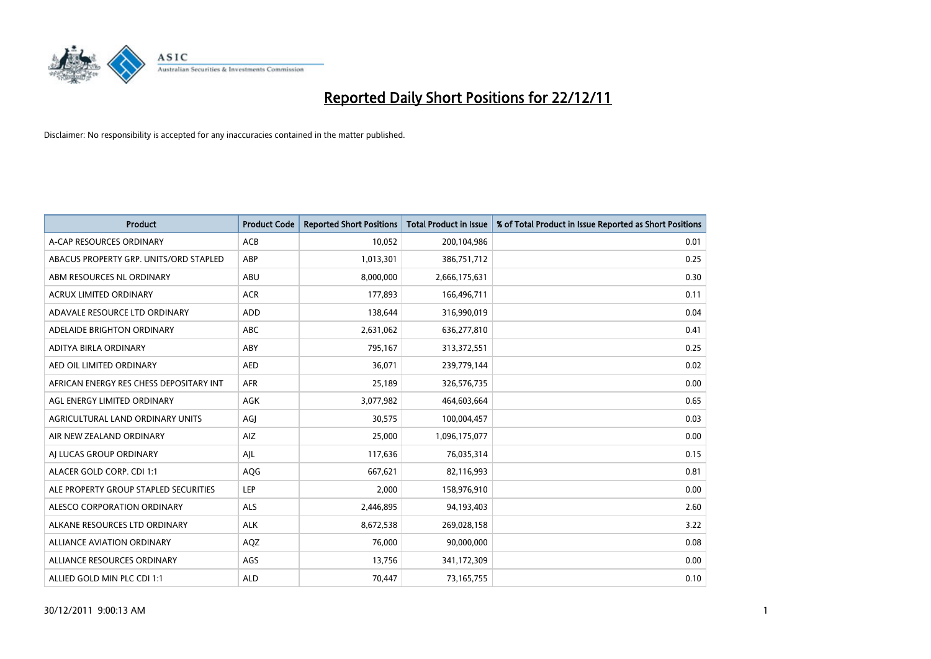

| <b>Product</b>                          | <b>Product Code</b> | <b>Reported Short Positions</b> | <b>Total Product in Issue</b> | % of Total Product in Issue Reported as Short Positions |
|-----------------------------------------|---------------------|---------------------------------|-------------------------------|---------------------------------------------------------|
| A-CAP RESOURCES ORDINARY                | <b>ACB</b>          | 10.052                          | 200,104,986                   | 0.01                                                    |
| ABACUS PROPERTY GRP. UNITS/ORD STAPLED  | ABP                 | 1,013,301                       | 386,751,712                   | 0.25                                                    |
| ABM RESOURCES NL ORDINARY               | <b>ABU</b>          | 8,000,000                       | 2,666,175,631                 | 0.30                                                    |
| ACRUX LIMITED ORDINARY                  | <b>ACR</b>          | 177,893                         | 166,496,711                   | 0.11                                                    |
| ADAVALE RESOURCE LTD ORDINARY           | ADD                 | 138,644                         | 316,990,019                   | 0.04                                                    |
| ADELAIDE BRIGHTON ORDINARY              | <b>ABC</b>          | 2,631,062                       | 636,277,810                   | 0.41                                                    |
| ADITYA BIRLA ORDINARY                   | ABY                 | 795,167                         | 313,372,551                   | 0.25                                                    |
| AED OIL LIMITED ORDINARY                | <b>AED</b>          | 36.071                          | 239,779,144                   | 0.02                                                    |
| AFRICAN ENERGY RES CHESS DEPOSITARY INT | <b>AFR</b>          | 25,189                          | 326,576,735                   | 0.00                                                    |
| AGL ENERGY LIMITED ORDINARY             | <b>AGK</b>          | 3,077,982                       | 464,603,664                   | 0.65                                                    |
| AGRICULTURAL LAND ORDINARY UNITS        | AGJ                 | 30,575                          | 100,004,457                   | 0.03                                                    |
| AIR NEW ZEALAND ORDINARY                | AIZ                 | 25,000                          | 1,096,175,077                 | 0.00                                                    |
| AI LUCAS GROUP ORDINARY                 | AJL                 | 117,636                         | 76,035,314                    | 0.15                                                    |
| ALACER GOLD CORP. CDI 1:1               | AQG                 | 667,621                         | 82,116,993                    | 0.81                                                    |
| ALE PROPERTY GROUP STAPLED SECURITIES   | <b>LEP</b>          | 2,000                           | 158,976,910                   | 0.00                                                    |
| ALESCO CORPORATION ORDINARY             | <b>ALS</b>          | 2,446,895                       | 94,193,403                    | 2.60                                                    |
| ALKANE RESOURCES LTD ORDINARY           | <b>ALK</b>          | 8,672,538                       | 269,028,158                   | 3.22                                                    |
| ALLIANCE AVIATION ORDINARY              | AQZ                 | 76,000                          | 90,000,000                    | 0.08                                                    |
| ALLIANCE RESOURCES ORDINARY             | AGS                 | 13,756                          | 341,172,309                   | 0.00                                                    |
| ALLIED GOLD MIN PLC CDI 1:1             | <b>ALD</b>          | 70,447                          | 73,165,755                    | 0.10                                                    |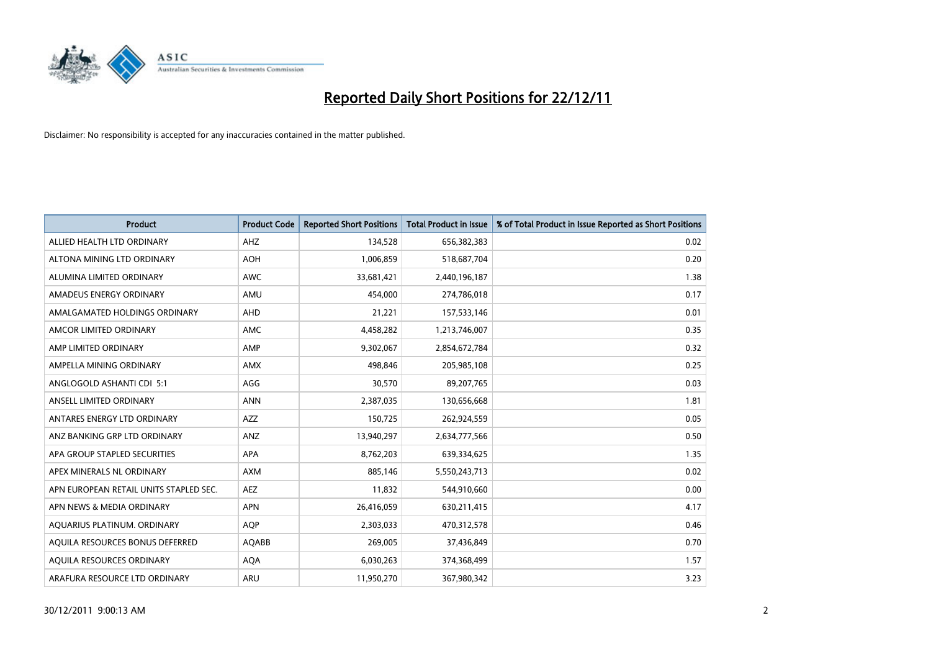

| <b>Product</b>                         | <b>Product Code</b> | <b>Reported Short Positions</b> | <b>Total Product in Issue</b> | % of Total Product in Issue Reported as Short Positions |
|----------------------------------------|---------------------|---------------------------------|-------------------------------|---------------------------------------------------------|
| ALLIED HEALTH LTD ORDINARY             | AHZ                 | 134,528                         | 656,382,383                   | 0.02                                                    |
| ALTONA MINING LTD ORDINARY             | AOH                 | 1,006,859                       | 518,687,704                   | 0.20                                                    |
| ALUMINA LIMITED ORDINARY               | <b>AWC</b>          | 33,681,421                      | 2,440,196,187                 | 1.38                                                    |
| AMADEUS ENERGY ORDINARY                | AMU                 | 454,000                         | 274,786,018                   | 0.17                                                    |
| AMALGAMATED HOLDINGS ORDINARY          | AHD                 | 21,221                          | 157,533,146                   | 0.01                                                    |
| AMCOR LIMITED ORDINARY                 | <b>AMC</b>          | 4,458,282                       | 1,213,746,007                 | 0.35                                                    |
| AMP LIMITED ORDINARY                   | AMP                 | 9,302,067                       | 2,854,672,784                 | 0.32                                                    |
| AMPELLA MINING ORDINARY                | <b>AMX</b>          | 498,846                         | 205,985,108                   | 0.25                                                    |
| ANGLOGOLD ASHANTI CDI 5:1              | AGG                 | 30,570                          | 89,207,765                    | 0.03                                                    |
| ANSELL LIMITED ORDINARY                | <b>ANN</b>          | 2,387,035                       | 130,656,668                   | 1.81                                                    |
| ANTARES ENERGY LTD ORDINARY            | <b>AZZ</b>          | 150,725                         | 262,924,559                   | 0.05                                                    |
| ANZ BANKING GRP LTD ORDINARY           | ANZ                 | 13,940,297                      | 2,634,777,566                 | 0.50                                                    |
| APA GROUP STAPLED SECURITIES           | <b>APA</b>          | 8,762,203                       | 639,334,625                   | 1.35                                                    |
| APEX MINERALS NL ORDINARY              | <b>AXM</b>          | 885,146                         | 5,550,243,713                 | 0.02                                                    |
| APN EUROPEAN RETAIL UNITS STAPLED SEC. | AEZ                 | 11,832                          | 544,910,660                   | 0.00                                                    |
| APN NEWS & MEDIA ORDINARY              | <b>APN</b>          | 26,416,059                      | 630,211,415                   | 4.17                                                    |
| AQUARIUS PLATINUM. ORDINARY            | <b>AOP</b>          | 2,303,033                       | 470,312,578                   | 0.46                                                    |
| AQUILA RESOURCES BONUS DEFERRED        | AQABB               | 269,005                         | 37,436,849                    | 0.70                                                    |
| AOUILA RESOURCES ORDINARY              | <b>AQA</b>          | 6,030,263                       | 374,368,499                   | 1.57                                                    |
| ARAFURA RESOURCE LTD ORDINARY          | <b>ARU</b>          | 11,950,270                      | 367,980,342                   | 3.23                                                    |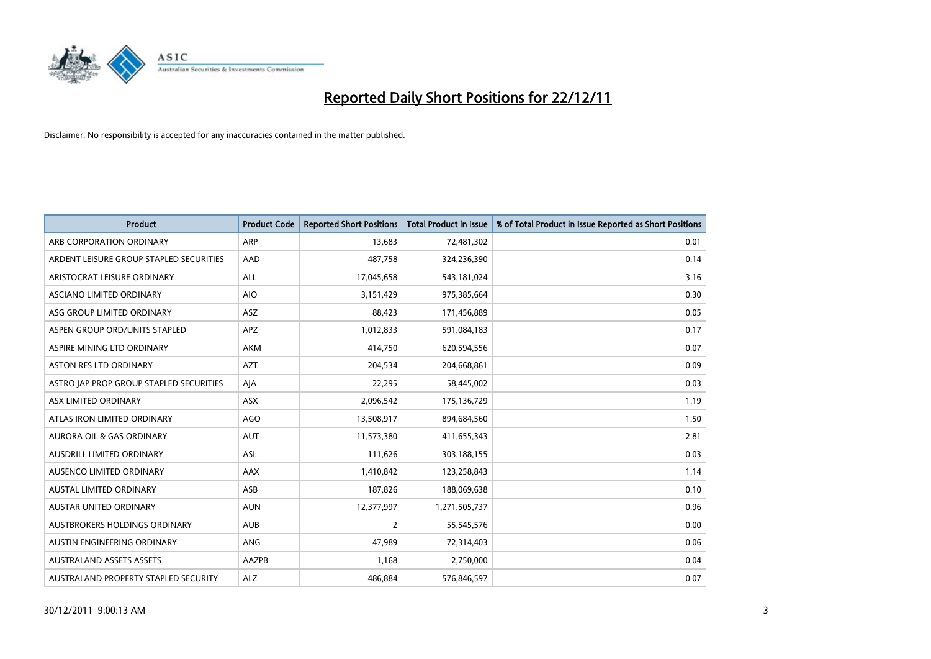

| <b>Product</b>                          | <b>Product Code</b> | <b>Reported Short Positions</b> | <b>Total Product in Issue</b> | % of Total Product in Issue Reported as Short Positions |
|-----------------------------------------|---------------------|---------------------------------|-------------------------------|---------------------------------------------------------|
| ARB CORPORATION ORDINARY                | ARP                 | 13,683                          | 72,481,302                    | 0.01                                                    |
| ARDENT LEISURE GROUP STAPLED SECURITIES | AAD                 | 487,758                         | 324,236,390                   | 0.14                                                    |
| ARISTOCRAT LEISURE ORDINARY             | <b>ALL</b>          | 17,045,658                      | 543,181,024                   | 3.16                                                    |
| ASCIANO LIMITED ORDINARY                | <b>AIO</b>          | 3,151,429                       | 975,385,664                   | 0.30                                                    |
| ASG GROUP LIMITED ORDINARY              | <b>ASZ</b>          | 88,423                          | 171,456,889                   | 0.05                                                    |
| ASPEN GROUP ORD/UNITS STAPLED           | <b>APZ</b>          | 1,012,833                       | 591,084,183                   | 0.17                                                    |
| ASPIRE MINING LTD ORDINARY              | AKM                 | 414,750                         | 620,594,556                   | 0.07                                                    |
| <b>ASTON RES LTD ORDINARY</b>           | <b>AZT</b>          | 204,534                         | 204,668,861                   | 0.09                                                    |
| ASTRO JAP PROP GROUP STAPLED SECURITIES | AJA                 | 22,295                          | 58,445,002                    | 0.03                                                    |
| ASX LIMITED ORDINARY                    | <b>ASX</b>          | 2,096,542                       | 175,136,729                   | 1.19                                                    |
| ATLAS IRON LIMITED ORDINARY             | <b>AGO</b>          | 13,508,917                      | 894,684,560                   | 1.50                                                    |
| <b>AURORA OIL &amp; GAS ORDINARY</b>    | <b>AUT</b>          | 11,573,380                      | 411,655,343                   | 2.81                                                    |
| AUSDRILL LIMITED ORDINARY               | ASL                 | 111,626                         | 303,188,155                   | 0.03                                                    |
| AUSENCO LIMITED ORDINARY                | AAX                 | 1,410,842                       | 123,258,843                   | 1.14                                                    |
| <b>AUSTAL LIMITED ORDINARY</b>          | ASB                 | 187,826                         | 188,069,638                   | 0.10                                                    |
| AUSTAR UNITED ORDINARY                  | <b>AUN</b>          | 12,377,997                      | 1,271,505,737                 | 0.96                                                    |
| AUSTBROKERS HOLDINGS ORDINARY           | <b>AUB</b>          | 2                               | 55,545,576                    | 0.00                                                    |
| AUSTIN ENGINEERING ORDINARY             | ANG                 | 47,989                          | 72,314,403                    | 0.06                                                    |
| <b>AUSTRALAND ASSETS ASSETS</b>         | AAZPB               | 1,168                           | 2,750,000                     | 0.04                                                    |
| AUSTRALAND PROPERTY STAPLED SECURITY    | <b>ALZ</b>          | 486,884                         | 576,846,597                   | 0.07                                                    |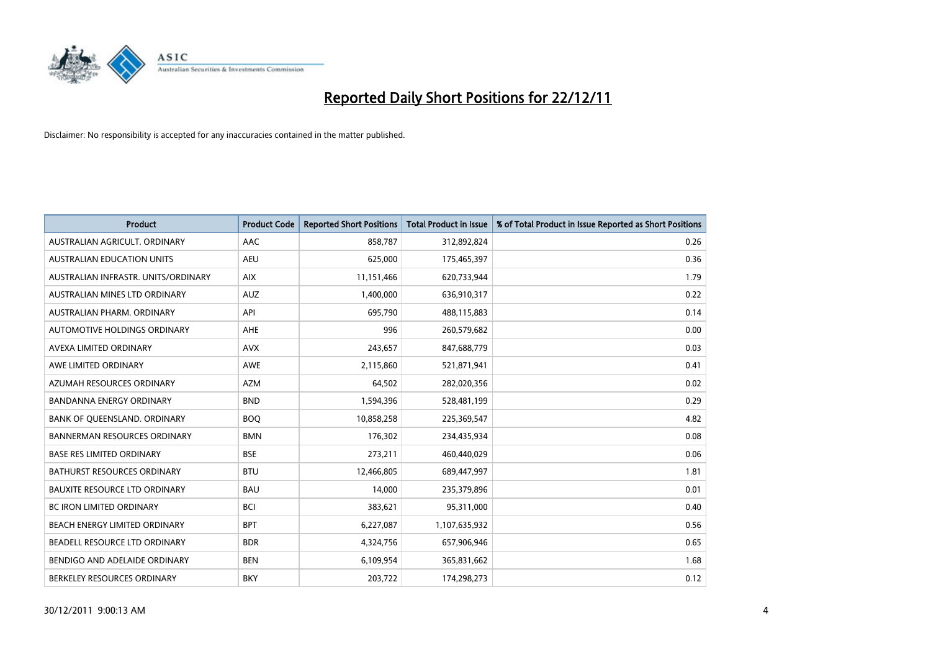

| <b>Product</b>                       | <b>Product Code</b> | <b>Reported Short Positions</b> | <b>Total Product in Issue</b> | % of Total Product in Issue Reported as Short Positions |
|--------------------------------------|---------------------|---------------------------------|-------------------------------|---------------------------------------------------------|
| AUSTRALIAN AGRICULT, ORDINARY        | AAC                 | 858,787                         | 312,892,824                   | 0.26                                                    |
| <b>AUSTRALIAN EDUCATION UNITS</b>    | <b>AEU</b>          | 625,000                         | 175,465,397                   | 0.36                                                    |
| AUSTRALIAN INFRASTR, UNITS/ORDINARY  | <b>AIX</b>          | 11,151,466                      | 620,733,944                   | 1.79                                                    |
| AUSTRALIAN MINES LTD ORDINARY        | <b>AUZ</b>          | 1,400,000                       | 636,910,317                   | 0.22                                                    |
| AUSTRALIAN PHARM, ORDINARY           | API                 | 695,790                         | 488,115,883                   | 0.14                                                    |
| AUTOMOTIVE HOLDINGS ORDINARY         | <b>AHE</b>          | 996                             | 260,579,682                   | 0.00                                                    |
| AVEXA LIMITED ORDINARY               | <b>AVX</b>          | 243,657                         | 847,688,779                   | 0.03                                                    |
| AWE LIMITED ORDINARY                 | <b>AWE</b>          | 2,115,860                       | 521,871,941                   | 0.41                                                    |
| AZUMAH RESOURCES ORDINARY            | <b>AZM</b>          | 64,502                          | 282,020,356                   | 0.02                                                    |
| <b>BANDANNA ENERGY ORDINARY</b>      | <b>BND</b>          | 1,594,396                       | 528,481,199                   | 0.29                                                    |
| BANK OF QUEENSLAND. ORDINARY         | <b>BOQ</b>          | 10,858,258                      | 225,369,547                   | 4.82                                                    |
| <b>BANNERMAN RESOURCES ORDINARY</b>  | <b>BMN</b>          | 176,302                         | 234,435,934                   | 0.08                                                    |
| <b>BASE RES LIMITED ORDINARY</b>     | <b>BSE</b>          | 273,211                         | 460,440,029                   | 0.06                                                    |
| <b>BATHURST RESOURCES ORDINARY</b>   | <b>BTU</b>          | 12,466,805                      | 689,447,997                   | 1.81                                                    |
| <b>BAUXITE RESOURCE LTD ORDINARY</b> | <b>BAU</b>          | 14,000                          | 235,379,896                   | 0.01                                                    |
| BC IRON LIMITED ORDINARY             | <b>BCI</b>          | 383,621                         | 95,311,000                    | 0.40                                                    |
| BEACH ENERGY LIMITED ORDINARY        | <b>BPT</b>          | 6,227,087                       | 1,107,635,932                 | 0.56                                                    |
| BEADELL RESOURCE LTD ORDINARY        | <b>BDR</b>          | 4,324,756                       | 657,906,946                   | 0.65                                                    |
| BENDIGO AND ADELAIDE ORDINARY        | <b>BEN</b>          | 6,109,954                       | 365,831,662                   | 1.68                                                    |
| BERKELEY RESOURCES ORDINARY          | <b>BKY</b>          | 203,722                         | 174,298,273                   | 0.12                                                    |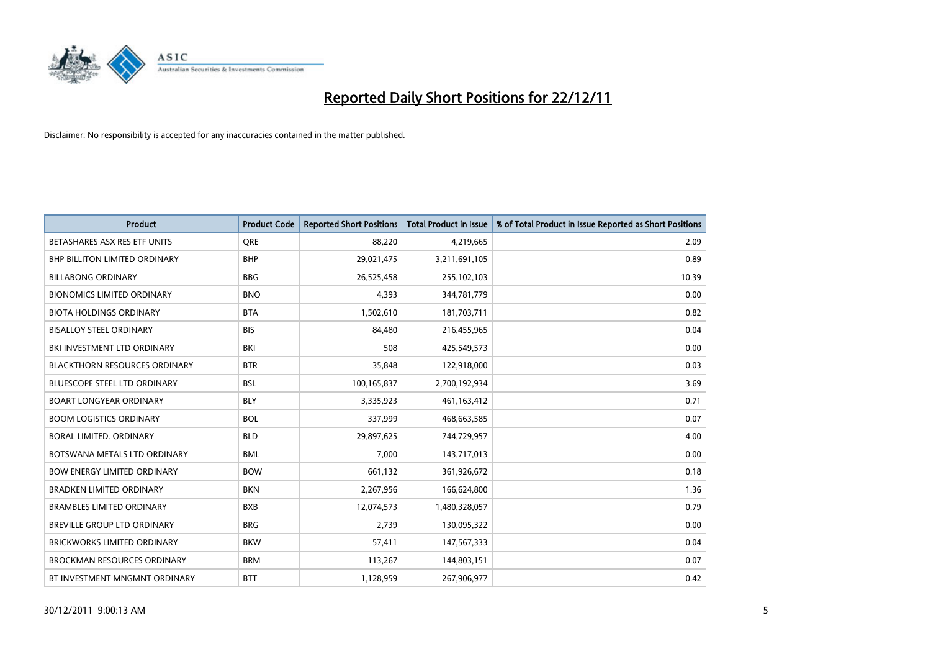

| <b>Product</b>                       | <b>Product Code</b> | <b>Reported Short Positions</b> | <b>Total Product in Issue</b> | % of Total Product in Issue Reported as Short Positions |
|--------------------------------------|---------------------|---------------------------------|-------------------------------|---------------------------------------------------------|
| BETASHARES ASX RES ETF UNITS         | <b>ORE</b>          | 88,220                          | 4,219,665                     | 2.09                                                    |
| <b>BHP BILLITON LIMITED ORDINARY</b> | <b>BHP</b>          | 29,021,475                      | 3,211,691,105                 | 0.89                                                    |
| <b>BILLABONG ORDINARY</b>            | <b>BBG</b>          | 26,525,458                      | 255,102,103                   | 10.39                                                   |
| <b>BIONOMICS LIMITED ORDINARY</b>    | <b>BNO</b>          | 4,393                           | 344,781,779                   | 0.00                                                    |
| <b>BIOTA HOLDINGS ORDINARY</b>       | <b>BTA</b>          | 1,502,610                       | 181,703,711                   | 0.82                                                    |
| <b>BISALLOY STEEL ORDINARY</b>       | <b>BIS</b>          | 84.480                          | 216,455,965                   | 0.04                                                    |
| BKI INVESTMENT LTD ORDINARY          | BKI                 | 508                             | 425,549,573                   | 0.00                                                    |
| <b>BLACKTHORN RESOURCES ORDINARY</b> | <b>BTR</b>          | 35,848                          | 122,918,000                   | 0.03                                                    |
| <b>BLUESCOPE STEEL LTD ORDINARY</b>  | <b>BSL</b>          | 100,165,837                     | 2,700,192,934                 | 3.69                                                    |
| <b>BOART LONGYEAR ORDINARY</b>       | <b>BLY</b>          | 3,335,923                       | 461, 163, 412                 | 0.71                                                    |
| <b>BOOM LOGISTICS ORDINARY</b>       | <b>BOL</b>          | 337,999                         | 468,663,585                   | 0.07                                                    |
| BORAL LIMITED, ORDINARY              | <b>BLD</b>          | 29,897,625                      | 744,729,957                   | 4.00                                                    |
| BOTSWANA METALS LTD ORDINARY         | <b>BML</b>          | 7,000                           | 143,717,013                   | 0.00                                                    |
| <b>BOW ENERGY LIMITED ORDINARY</b>   | <b>BOW</b>          | 661,132                         | 361,926,672                   | 0.18                                                    |
| <b>BRADKEN LIMITED ORDINARY</b>      | <b>BKN</b>          | 2,267,956                       | 166,624,800                   | 1.36                                                    |
| <b>BRAMBLES LIMITED ORDINARY</b>     | <b>BXB</b>          | 12,074,573                      | 1,480,328,057                 | 0.79                                                    |
| BREVILLE GROUP LTD ORDINARY          | <b>BRG</b>          | 2,739                           | 130,095,322                   | 0.00                                                    |
| BRICKWORKS LIMITED ORDINARY          | <b>BKW</b>          | 57,411                          | 147,567,333                   | 0.04                                                    |
| <b>BROCKMAN RESOURCES ORDINARY</b>   | <b>BRM</b>          | 113,267                         | 144,803,151                   | 0.07                                                    |
| BT INVESTMENT MNGMNT ORDINARY        | <b>BTT</b>          | 1,128,959                       | 267,906,977                   | 0.42                                                    |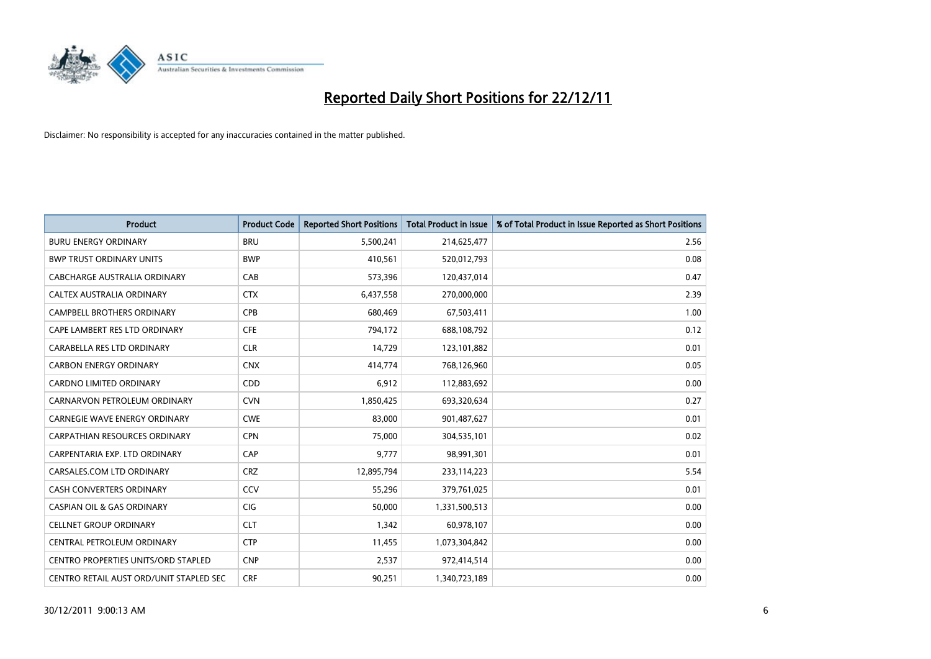

| <b>Product</b>                             | <b>Product Code</b> | <b>Reported Short Positions</b> | <b>Total Product in Issue</b> | % of Total Product in Issue Reported as Short Positions |
|--------------------------------------------|---------------------|---------------------------------|-------------------------------|---------------------------------------------------------|
| <b>BURU ENERGY ORDINARY</b>                | <b>BRU</b>          | 5,500,241                       | 214,625,477                   | 2.56                                                    |
| <b>BWP TRUST ORDINARY UNITS</b>            | <b>BWP</b>          | 410,561                         | 520,012,793                   | 0.08                                                    |
| CABCHARGE AUSTRALIA ORDINARY               | CAB                 | 573,396                         | 120,437,014                   | 0.47                                                    |
| CALTEX AUSTRALIA ORDINARY                  | <b>CTX</b>          | 6,437,558                       | 270,000,000                   | 2.39                                                    |
| <b>CAMPBELL BROTHERS ORDINARY</b>          | <b>CPB</b>          | 680.469                         | 67,503,411                    | 1.00                                                    |
| CAPE LAMBERT RES LTD ORDINARY              | <b>CFE</b>          | 794,172                         | 688,108,792                   | 0.12                                                    |
| CARABELLA RES LTD ORDINARY                 | <b>CLR</b>          | 14,729                          | 123,101,882                   | 0.01                                                    |
| <b>CARBON ENERGY ORDINARY</b>              | <b>CNX</b>          | 414,774                         | 768,126,960                   | 0.05                                                    |
| CARDNO LIMITED ORDINARY                    | CDD                 | 6,912                           | 112,883,692                   | 0.00                                                    |
| CARNARVON PETROLEUM ORDINARY               | <b>CVN</b>          | 1,850,425                       | 693,320,634                   | 0.27                                                    |
| <b>CARNEGIE WAVE ENERGY ORDINARY</b>       | <b>CWE</b>          | 83,000                          | 901,487,627                   | 0.01                                                    |
| <b>CARPATHIAN RESOURCES ORDINARY</b>       | <b>CPN</b>          | 75,000                          | 304,535,101                   | 0.02                                                    |
| CARPENTARIA EXP. LTD ORDINARY              | CAP                 | 9,777                           | 98,991,301                    | 0.01                                                    |
| CARSALES.COM LTD ORDINARY                  | <b>CRZ</b>          | 12,895,794                      | 233,114,223                   | 5.54                                                    |
| CASH CONVERTERS ORDINARY                   | CCV                 | 55,296                          | 379,761,025                   | 0.01                                                    |
| <b>CASPIAN OIL &amp; GAS ORDINARY</b>      | <b>CIG</b>          | 50,000                          | 1,331,500,513                 | 0.00                                                    |
| <b>CELLNET GROUP ORDINARY</b>              | <b>CLT</b>          | 1,342                           | 60,978,107                    | 0.00                                                    |
| CENTRAL PETROLEUM ORDINARY                 | <b>CTP</b>          | 11,455                          | 1,073,304,842                 | 0.00                                                    |
| <b>CENTRO PROPERTIES UNITS/ORD STAPLED</b> | <b>CNP</b>          | 2,537                           | 972,414,514                   | 0.00                                                    |
| CENTRO RETAIL AUST ORD/UNIT STAPLED SEC    | <b>CRF</b>          | 90,251                          | 1,340,723,189                 | 0.00                                                    |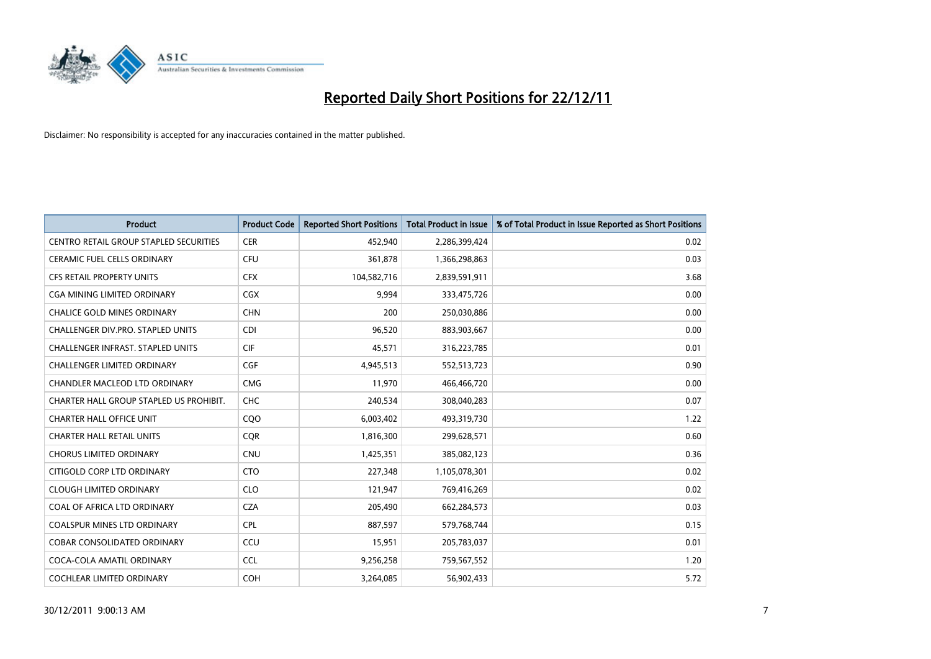

| <b>Product</b>                           | <b>Product Code</b> | <b>Reported Short Positions</b> | <b>Total Product in Issue</b> | % of Total Product in Issue Reported as Short Positions |
|------------------------------------------|---------------------|---------------------------------|-------------------------------|---------------------------------------------------------|
| CENTRO RETAIL GROUP STAPLED SECURITIES   | <b>CER</b>          | 452,940                         | 2,286,399,424                 | 0.02                                                    |
| CERAMIC FUEL CELLS ORDINARY              | <b>CFU</b>          | 361,878                         | 1,366,298,863                 | 0.03                                                    |
| <b>CFS RETAIL PROPERTY UNITS</b>         | <b>CFX</b>          | 104,582,716                     | 2,839,591,911                 | 3.68                                                    |
| CGA MINING LIMITED ORDINARY              | <b>CGX</b>          | 9,994                           | 333,475,726                   | 0.00                                                    |
| <b>CHALICE GOLD MINES ORDINARY</b>       | <b>CHN</b>          | 200                             | 250,030,886                   | 0.00                                                    |
| <b>CHALLENGER DIV.PRO. STAPLED UNITS</b> | <b>CDI</b>          | 96,520                          | 883,903,667                   | 0.00                                                    |
| <b>CHALLENGER INFRAST, STAPLED UNITS</b> | <b>CIF</b>          | 45,571                          | 316,223,785                   | 0.01                                                    |
| CHALLENGER LIMITED ORDINARY              | <b>CGF</b>          | 4,945,513                       | 552,513,723                   | 0.90                                                    |
| CHANDLER MACLEOD LTD ORDINARY            | <b>CMG</b>          | 11,970                          | 466,466,720                   | 0.00                                                    |
| CHARTER HALL GROUP STAPLED US PROHIBIT.  | <b>CHC</b>          | 240,534                         | 308,040,283                   | 0.07                                                    |
| CHARTER HALL OFFICE UNIT                 | CQO                 | 6,003,402                       | 493,319,730                   | 1.22                                                    |
| <b>CHARTER HALL RETAIL UNITS</b>         | <b>COR</b>          | 1,816,300                       | 299,628,571                   | 0.60                                                    |
| <b>CHORUS LIMITED ORDINARY</b>           | <b>CNU</b>          | 1,425,351                       | 385,082,123                   | 0.36                                                    |
| CITIGOLD CORP LTD ORDINARY               | <b>CTO</b>          | 227,348                         | 1,105,078,301                 | 0.02                                                    |
| <b>CLOUGH LIMITED ORDINARY</b>           | <b>CLO</b>          | 121,947                         | 769,416,269                   | 0.02                                                    |
| COAL OF AFRICA LTD ORDINARY              | <b>CZA</b>          | 205,490                         | 662,284,573                   | 0.03                                                    |
| <b>COALSPUR MINES LTD ORDINARY</b>       | <b>CPL</b>          | 887,597                         | 579,768,744                   | 0.15                                                    |
| COBAR CONSOLIDATED ORDINARY              | CCU                 | 15,951                          | 205,783,037                   | 0.01                                                    |
| COCA-COLA AMATIL ORDINARY                | <b>CCL</b>          | 9,256,258                       | 759,567,552                   | 1.20                                                    |
| <b>COCHLEAR LIMITED ORDINARY</b>         | <b>COH</b>          | 3,264,085                       | 56,902,433                    | 5.72                                                    |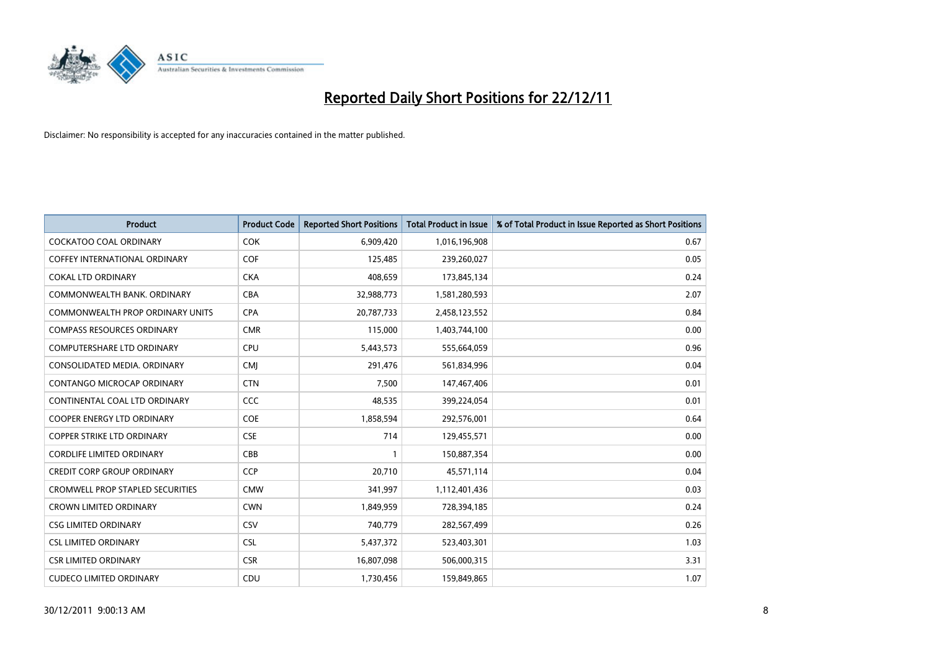

| <b>Product</b>                          | <b>Product Code</b> | <b>Reported Short Positions</b> | <b>Total Product in Issue</b> | % of Total Product in Issue Reported as Short Positions |
|-----------------------------------------|---------------------|---------------------------------|-------------------------------|---------------------------------------------------------|
| <b>COCKATOO COAL ORDINARY</b>           | <b>COK</b>          | 6,909,420                       | 1,016,196,908                 | 0.67                                                    |
| <b>COFFEY INTERNATIONAL ORDINARY</b>    | <b>COF</b>          | 125,485                         | 239,260,027                   | 0.05                                                    |
| COKAL LTD ORDINARY                      | <b>CKA</b>          | 408,659                         | 173,845,134                   | 0.24                                                    |
| COMMONWEALTH BANK, ORDINARY             | <b>CBA</b>          | 32,988,773                      | 1,581,280,593                 | 2.07                                                    |
| <b>COMMONWEALTH PROP ORDINARY UNITS</b> | <b>CPA</b>          | 20,787,733                      | 2,458,123,552                 | 0.84                                                    |
| <b>COMPASS RESOURCES ORDINARY</b>       | <b>CMR</b>          | 115,000                         | 1,403,744,100                 | 0.00                                                    |
| <b>COMPUTERSHARE LTD ORDINARY</b>       | <b>CPU</b>          | 5,443,573                       | 555,664,059                   | 0.96                                                    |
| CONSOLIDATED MEDIA. ORDINARY            | <b>CMI</b>          | 291,476                         | 561,834,996                   | 0.04                                                    |
| CONTANGO MICROCAP ORDINARY              | <b>CTN</b>          | 7,500                           | 147,467,406                   | 0.01                                                    |
| CONTINENTAL COAL LTD ORDINARY           | <b>CCC</b>          | 48,535                          | 399,224,054                   | 0.01                                                    |
| COOPER ENERGY LTD ORDINARY              | <b>COE</b>          | 1,858,594                       | 292,576,001                   | 0.64                                                    |
| <b>COPPER STRIKE LTD ORDINARY</b>       | <b>CSE</b>          | 714                             | 129,455,571                   | 0.00                                                    |
| <b>CORDLIFE LIMITED ORDINARY</b>        | CBB                 |                                 | 150,887,354                   | 0.00                                                    |
| <b>CREDIT CORP GROUP ORDINARY</b>       | <b>CCP</b>          | 20,710                          | 45,571,114                    | 0.04                                                    |
| <b>CROMWELL PROP STAPLED SECURITIES</b> | <b>CMW</b>          | 341,997                         | 1,112,401,436                 | 0.03                                                    |
| <b>CROWN LIMITED ORDINARY</b>           | <b>CWN</b>          | 1,849,959                       | 728,394,185                   | 0.24                                                    |
| <b>CSG LIMITED ORDINARY</b>             | CSV                 | 740,779                         | 282,567,499                   | 0.26                                                    |
| <b>CSL LIMITED ORDINARY</b>             | <b>CSL</b>          | 5,437,372                       | 523,403,301                   | 1.03                                                    |
| <b>CSR LIMITED ORDINARY</b>             | <b>CSR</b>          | 16,807,098                      | 506,000,315                   | 3.31                                                    |
| <b>CUDECO LIMITED ORDINARY</b>          | CDU                 | 1,730,456                       | 159,849,865                   | 1.07                                                    |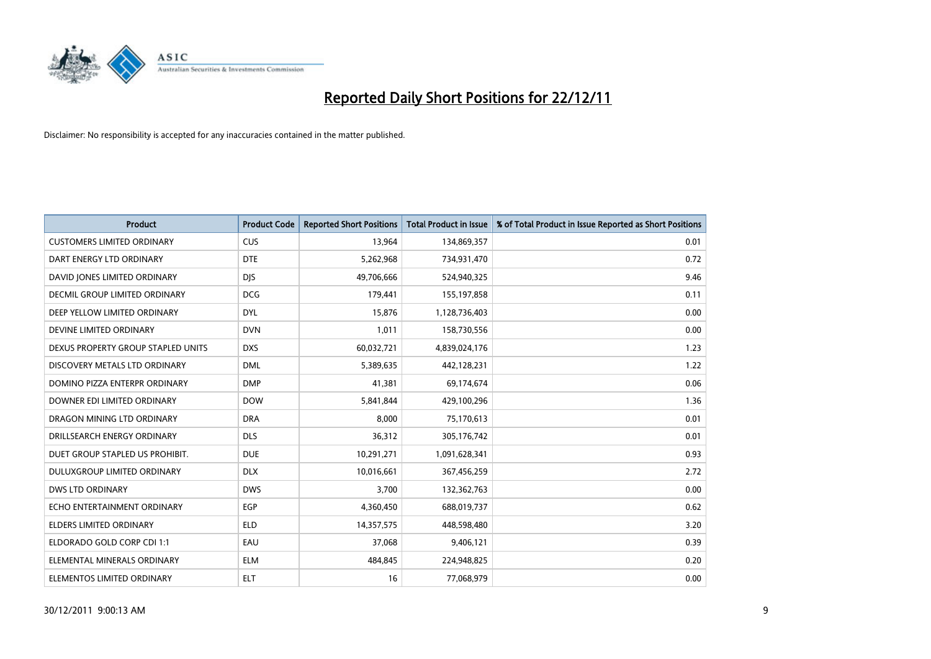

| <b>Product</b>                     | <b>Product Code</b> | <b>Reported Short Positions</b> | <b>Total Product in Issue</b> | % of Total Product in Issue Reported as Short Positions |
|------------------------------------|---------------------|---------------------------------|-------------------------------|---------------------------------------------------------|
| <b>CUSTOMERS LIMITED ORDINARY</b>  | <b>CUS</b>          | 13,964                          | 134,869,357                   | 0.01                                                    |
| DART ENERGY LTD ORDINARY           | <b>DTE</b>          | 5,262,968                       | 734,931,470                   | 0.72                                                    |
| DAVID JONES LIMITED ORDINARY       | <b>DJS</b>          | 49,706,666                      | 524,940,325                   | 9.46                                                    |
| DECMIL GROUP LIMITED ORDINARY      | <b>DCG</b>          | 179,441                         | 155, 197, 858                 | 0.11                                                    |
| DEEP YELLOW LIMITED ORDINARY       | <b>DYL</b>          | 15.876                          | 1,128,736,403                 | 0.00                                                    |
| DEVINE LIMITED ORDINARY            | <b>DVN</b>          | 1,011                           | 158,730,556                   | 0.00                                                    |
| DEXUS PROPERTY GROUP STAPLED UNITS | <b>DXS</b>          | 60,032,721                      | 4,839,024,176                 | 1.23                                                    |
| DISCOVERY METALS LTD ORDINARY      | <b>DML</b>          | 5,389,635                       | 442,128,231                   | 1.22                                                    |
| DOMINO PIZZA ENTERPR ORDINARY      | <b>DMP</b>          | 41,381                          | 69,174,674                    | 0.06                                                    |
| DOWNER EDI LIMITED ORDINARY        | <b>DOW</b>          | 5,841,844                       | 429,100,296                   | 1.36                                                    |
| DRAGON MINING LTD ORDINARY         | <b>DRA</b>          | 8,000                           | 75,170,613                    | 0.01                                                    |
| DRILLSEARCH ENERGY ORDINARY        | <b>DLS</b>          | 36,312                          | 305,176,742                   | 0.01                                                    |
| DUET GROUP STAPLED US PROHIBIT.    | <b>DUE</b>          | 10,291,271                      | 1,091,628,341                 | 0.93                                                    |
| DULUXGROUP LIMITED ORDINARY        | <b>DLX</b>          | 10,016,661                      | 367,456,259                   | 2.72                                                    |
| <b>DWS LTD ORDINARY</b>            | <b>DWS</b>          | 3,700                           | 132,362,763                   | 0.00                                                    |
| ECHO ENTERTAINMENT ORDINARY        | <b>EGP</b>          | 4,360,450                       | 688,019,737                   | 0.62                                                    |
| <b>ELDERS LIMITED ORDINARY</b>     | <b>ELD</b>          | 14,357,575                      | 448,598,480                   | 3.20                                                    |
| ELDORADO GOLD CORP CDI 1:1         | EAU                 | 37,068                          | 9,406,121                     | 0.39                                                    |
| ELEMENTAL MINERALS ORDINARY        | <b>ELM</b>          | 484,845                         | 224,948,825                   | 0.20                                                    |
| ELEMENTOS LIMITED ORDINARY         | <b>ELT</b>          | 16                              | 77,068,979                    | 0.00                                                    |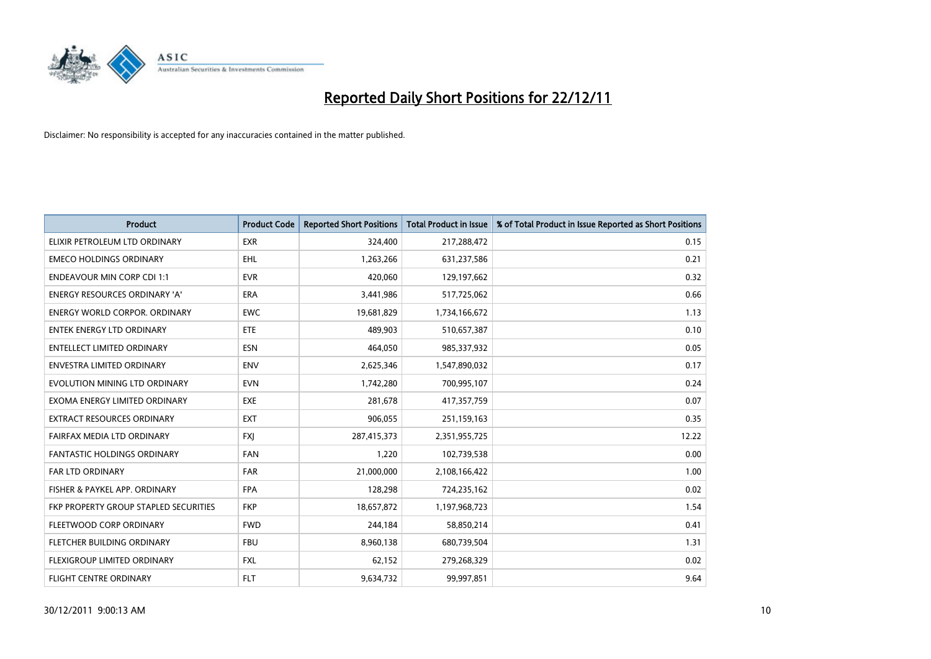

| <b>Product</b>                        | <b>Product Code</b> | <b>Reported Short Positions</b> | <b>Total Product in Issue</b> | % of Total Product in Issue Reported as Short Positions |
|---------------------------------------|---------------------|---------------------------------|-------------------------------|---------------------------------------------------------|
| ELIXIR PETROLEUM LTD ORDINARY         | <b>EXR</b>          | 324,400                         | 217,288,472                   | 0.15                                                    |
| <b>EMECO HOLDINGS ORDINARY</b>        | <b>EHL</b>          | 1,263,266                       | 631,237,586                   | 0.21                                                    |
| <b>ENDEAVOUR MIN CORP CDI 1:1</b>     | <b>EVR</b>          | 420,060                         | 129,197,662                   | 0.32                                                    |
| ENERGY RESOURCES ORDINARY 'A'         | <b>ERA</b>          | 3,441,986                       | 517,725,062                   | 0.66                                                    |
| <b>ENERGY WORLD CORPOR, ORDINARY</b>  | <b>EWC</b>          | 19,681,829                      | 1,734,166,672                 | 1.13                                                    |
| <b>ENTEK ENERGY LTD ORDINARY</b>      | <b>ETE</b>          | 489,903                         | 510,657,387                   | 0.10                                                    |
| ENTELLECT LIMITED ORDINARY            | <b>ESN</b>          | 464,050                         | 985,337,932                   | 0.05                                                    |
| <b>ENVESTRA LIMITED ORDINARY</b>      | <b>ENV</b>          | 2,625,346                       | 1,547,890,032                 | 0.17                                                    |
| EVOLUTION MINING LTD ORDINARY         | <b>EVN</b>          | 1,742,280                       | 700,995,107                   | 0.24                                                    |
| EXOMA ENERGY LIMITED ORDINARY         | <b>EXE</b>          | 281,678                         | 417,357,759                   | 0.07                                                    |
| EXTRACT RESOURCES ORDINARY            | <b>EXT</b>          | 906,055                         | 251,159,163                   | 0.35                                                    |
| FAIRFAX MEDIA LTD ORDINARY            | <b>FXI</b>          | 287,415,373                     | 2,351,955,725                 | 12.22                                                   |
| <b>FANTASTIC HOLDINGS ORDINARY</b>    | <b>FAN</b>          | 1,220                           | 102,739,538                   | 0.00                                                    |
| <b>FAR LTD ORDINARY</b>               | <b>FAR</b>          | 21,000,000                      | 2,108,166,422                 | 1.00                                                    |
| FISHER & PAYKEL APP. ORDINARY         | <b>FPA</b>          | 128,298                         | 724,235,162                   | 0.02                                                    |
| FKP PROPERTY GROUP STAPLED SECURITIES | <b>FKP</b>          | 18,657,872                      | 1,197,968,723                 | 1.54                                                    |
| FLEETWOOD CORP ORDINARY               | <b>FWD</b>          | 244,184                         | 58,850,214                    | 0.41                                                    |
| FLETCHER BUILDING ORDINARY            | <b>FBU</b>          | 8,960,138                       | 680,739,504                   | 1.31                                                    |
| <b>FLEXIGROUP LIMITED ORDINARY</b>    | <b>FXL</b>          | 62,152                          | 279,268,329                   | 0.02                                                    |
| FLIGHT CENTRE ORDINARY                | <b>FLT</b>          | 9,634,732                       | 99,997,851                    | 9.64                                                    |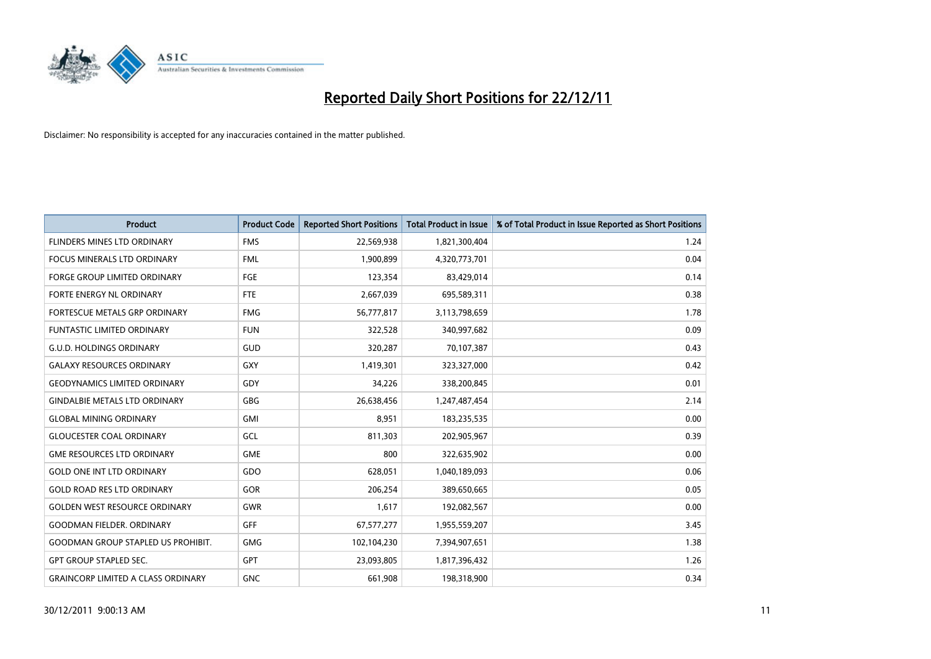

| <b>Product</b>                            | <b>Product Code</b> | <b>Reported Short Positions</b> | <b>Total Product in Issue</b> | % of Total Product in Issue Reported as Short Positions |
|-------------------------------------------|---------------------|---------------------------------|-------------------------------|---------------------------------------------------------|
| FLINDERS MINES LTD ORDINARY               | <b>FMS</b>          | 22,569,938                      | 1,821,300,404                 | 1.24                                                    |
| <b>FOCUS MINERALS LTD ORDINARY</b>        | <b>FML</b>          | 1,900,899                       | 4,320,773,701                 | 0.04                                                    |
| <b>FORGE GROUP LIMITED ORDINARY</b>       | FGE                 | 123,354                         | 83,429,014                    | 0.14                                                    |
| FORTE ENERGY NL ORDINARY                  | <b>FTE</b>          | 2,667,039                       | 695,589,311                   | 0.38                                                    |
| <b>FORTESCUE METALS GRP ORDINARY</b>      | <b>FMG</b>          | 56,777,817                      | 3,113,798,659                 | 1.78                                                    |
| <b>FUNTASTIC LIMITED ORDINARY</b>         | <b>FUN</b>          | 322,528                         | 340,997,682                   | 0.09                                                    |
| <b>G.U.D. HOLDINGS ORDINARY</b>           | GUD                 | 320,287                         | 70,107,387                    | 0.43                                                    |
| <b>GALAXY RESOURCES ORDINARY</b>          | GXY                 | 1,419,301                       | 323,327,000                   | 0.42                                                    |
| <b>GEODYNAMICS LIMITED ORDINARY</b>       | GDY                 | 34,226                          | 338,200,845                   | 0.01                                                    |
| <b>GINDALBIE METALS LTD ORDINARY</b>      | GBG                 | 26,638,456                      | 1,247,487,454                 | 2.14                                                    |
| <b>GLOBAL MINING ORDINARY</b>             | GMI                 | 8,951                           | 183,235,535                   | 0.00                                                    |
| <b>GLOUCESTER COAL ORDINARY</b>           | GCL                 | 811,303                         | 202,905,967                   | 0.39                                                    |
| <b>GME RESOURCES LTD ORDINARY</b>         | <b>GME</b>          | 800                             | 322,635,902                   | 0.00                                                    |
| <b>GOLD ONE INT LTD ORDINARY</b>          | GDO                 | 628.051                         | 1,040,189,093                 | 0.06                                                    |
| <b>GOLD ROAD RES LTD ORDINARY</b>         | <b>GOR</b>          | 206,254                         | 389,650,665                   | 0.05                                                    |
| <b>GOLDEN WEST RESOURCE ORDINARY</b>      | <b>GWR</b>          | 1,617                           | 192,082,567                   | 0.00                                                    |
| <b>GOODMAN FIELDER, ORDINARY</b>          | <b>GFF</b>          | 67, 577, 277                    | 1,955,559,207                 | 3.45                                                    |
| <b>GOODMAN GROUP STAPLED US PROHIBIT.</b> | <b>GMG</b>          | 102,104,230                     | 7,394,907,651                 | 1.38                                                    |
| <b>GPT GROUP STAPLED SEC.</b>             | <b>GPT</b>          | 23,093,805                      | 1,817,396,432                 | 1.26                                                    |
| <b>GRAINCORP LIMITED A CLASS ORDINARY</b> | <b>GNC</b>          | 661,908                         | 198,318,900                   | 0.34                                                    |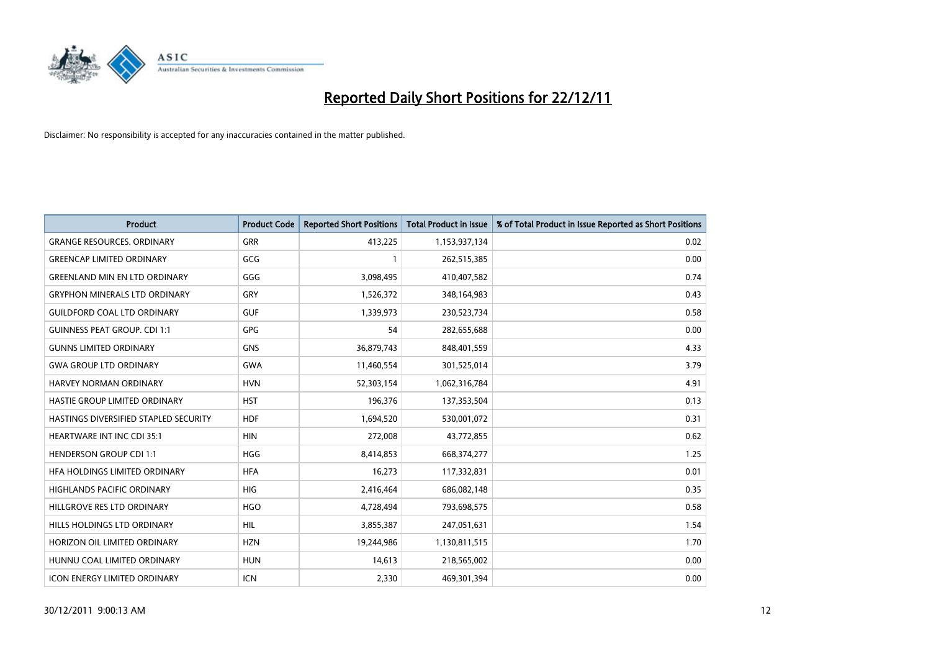

| <b>Product</b>                        | <b>Product Code</b> | <b>Reported Short Positions</b> | <b>Total Product in Issue</b> | % of Total Product in Issue Reported as Short Positions |
|---------------------------------------|---------------------|---------------------------------|-------------------------------|---------------------------------------------------------|
| <b>GRANGE RESOURCES, ORDINARY</b>     | GRR                 | 413,225                         | 1,153,937,134                 | 0.02                                                    |
| <b>GREENCAP LIMITED ORDINARY</b>      | GCG                 |                                 | 262,515,385                   | 0.00                                                    |
| <b>GREENLAND MIN EN LTD ORDINARY</b>  | GGG                 | 3,098,495                       | 410,407,582                   | 0.74                                                    |
| <b>GRYPHON MINERALS LTD ORDINARY</b>  | GRY                 | 1,526,372                       | 348,164,983                   | 0.43                                                    |
| <b>GUILDFORD COAL LTD ORDINARY</b>    | <b>GUF</b>          | 1,339,973                       | 230,523,734                   | 0.58                                                    |
| <b>GUINNESS PEAT GROUP. CDI 1:1</b>   | <b>GPG</b>          | 54                              | 282,655,688                   | 0.00                                                    |
| <b>GUNNS LIMITED ORDINARY</b>         | <b>GNS</b>          | 36,879,743                      | 848,401,559                   | 4.33                                                    |
| <b>GWA GROUP LTD ORDINARY</b>         | <b>GWA</b>          | 11,460,554                      | 301,525,014                   | 3.79                                                    |
| HARVEY NORMAN ORDINARY                | <b>HVN</b>          | 52,303,154                      | 1,062,316,784                 | 4.91                                                    |
| HASTIE GROUP LIMITED ORDINARY         | <b>HST</b>          | 196,376                         | 137,353,504                   | 0.13                                                    |
| HASTINGS DIVERSIFIED STAPLED SECURITY | <b>HDF</b>          | 1,694,520                       | 530,001,072                   | 0.31                                                    |
| <b>HEARTWARE INT INC CDI 35:1</b>     | <b>HIN</b>          | 272,008                         | 43,772,855                    | 0.62                                                    |
| <b>HENDERSON GROUP CDI 1:1</b>        | <b>HGG</b>          | 8,414,853                       | 668,374,277                   | 1.25                                                    |
| HFA HOLDINGS LIMITED ORDINARY         | <b>HFA</b>          | 16,273                          | 117,332,831                   | 0.01                                                    |
| <b>HIGHLANDS PACIFIC ORDINARY</b>     | <b>HIG</b>          | 2,416,464                       | 686,082,148                   | 0.35                                                    |
| HILLGROVE RES LTD ORDINARY            | <b>HGO</b>          | 4,728,494                       | 793,698,575                   | 0.58                                                    |
| HILLS HOLDINGS LTD ORDINARY           | <b>HIL</b>          | 3,855,387                       | 247,051,631                   | 1.54                                                    |
| HORIZON OIL LIMITED ORDINARY          | <b>HZN</b>          | 19,244,986                      | 1,130,811,515                 | 1.70                                                    |
| HUNNU COAL LIMITED ORDINARY           | <b>HUN</b>          | 14,613                          | 218,565,002                   | 0.00                                                    |
| ICON ENERGY LIMITED ORDINARY          | <b>ICN</b>          | 2,330                           | 469,301,394                   | 0.00                                                    |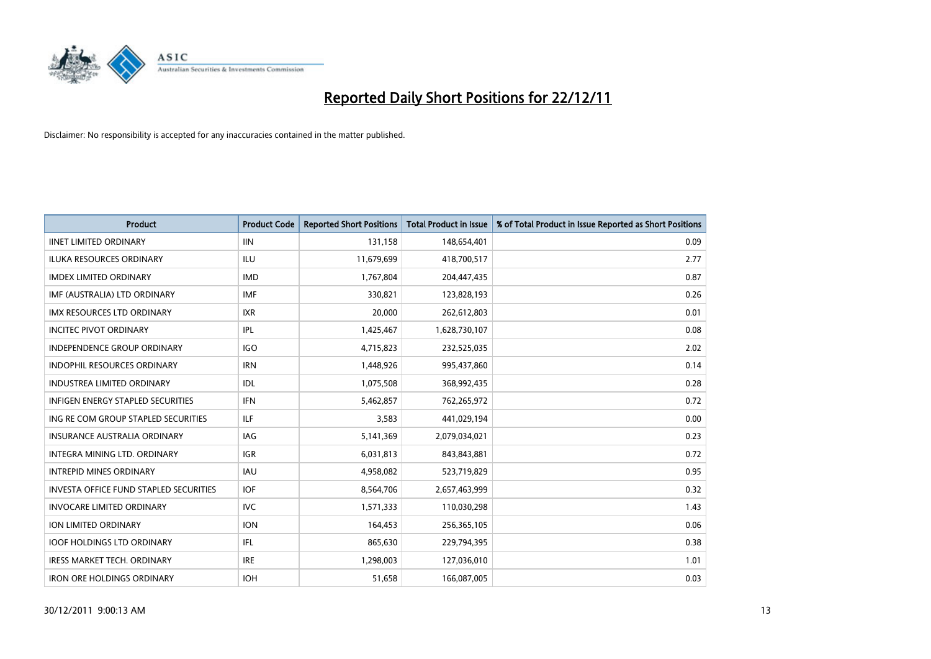

| <b>Product</b>                                | <b>Product Code</b> | <b>Reported Short Positions</b> | <b>Total Product in Issue</b> | % of Total Product in Issue Reported as Short Positions |
|-----------------------------------------------|---------------------|---------------------------------|-------------------------------|---------------------------------------------------------|
| <b>IINET LIMITED ORDINARY</b>                 | <b>IIN</b>          | 131,158                         | 148,654,401                   | 0.09                                                    |
| ILUKA RESOURCES ORDINARY                      | ILU                 | 11,679,699                      | 418,700,517                   | 2.77                                                    |
| <b>IMDEX LIMITED ORDINARY</b>                 | <b>IMD</b>          | 1,767,804                       | 204,447,435                   | 0.87                                                    |
| IMF (AUSTRALIA) LTD ORDINARY                  | <b>IMF</b>          | 330,821                         | 123,828,193                   | 0.26                                                    |
| <b>IMX RESOURCES LTD ORDINARY</b>             | <b>IXR</b>          | 20,000                          | 262,612,803                   | 0.01                                                    |
| <b>INCITEC PIVOT ORDINARY</b>                 | IPL                 | 1,425,467                       | 1,628,730,107                 | 0.08                                                    |
| INDEPENDENCE GROUP ORDINARY                   | <b>IGO</b>          | 4,715,823                       | 232,525,035                   | 2.02                                                    |
| <b>INDOPHIL RESOURCES ORDINARY</b>            | <b>IRN</b>          | 1,448,926                       | 995,437,860                   | 0.14                                                    |
| <b>INDUSTREA LIMITED ORDINARY</b>             | IDL                 | 1,075,508                       | 368,992,435                   | 0.28                                                    |
| <b>INFIGEN ENERGY STAPLED SECURITIES</b>      | <b>IFN</b>          | 5,462,857                       | 762,265,972                   | 0.72                                                    |
| ING RE COM GROUP STAPLED SECURITIES           | ILF.                | 3,583                           | 441,029,194                   | 0.00                                                    |
| <b>INSURANCE AUSTRALIA ORDINARY</b>           | IAG                 | 5,141,369                       | 2,079,034,021                 | 0.23                                                    |
| <b>INTEGRA MINING LTD, ORDINARY</b>           | <b>IGR</b>          | 6,031,813                       | 843,843,881                   | 0.72                                                    |
| <b>INTREPID MINES ORDINARY</b>                | <b>IAU</b>          | 4,958,082                       | 523,719,829                   | 0.95                                                    |
| <b>INVESTA OFFICE FUND STAPLED SECURITIES</b> | <b>IOF</b>          | 8,564,706                       | 2,657,463,999                 | 0.32                                                    |
| <b>INVOCARE LIMITED ORDINARY</b>              | <b>IVC</b>          | 1,571,333                       | 110,030,298                   | 1.43                                                    |
| <b>ION LIMITED ORDINARY</b>                   | <b>ION</b>          | 164,453                         | 256,365,105                   | 0.06                                                    |
| <b>IOOF HOLDINGS LTD ORDINARY</b>             | <b>IFL</b>          | 865,630                         | 229,794,395                   | 0.38                                                    |
| <b>IRESS MARKET TECH. ORDINARY</b>            | <b>IRE</b>          | 1,298,003                       | 127,036,010                   | 1.01                                                    |
| <b>IRON ORE HOLDINGS ORDINARY</b>             | <b>IOH</b>          | 51,658                          | 166,087,005                   | 0.03                                                    |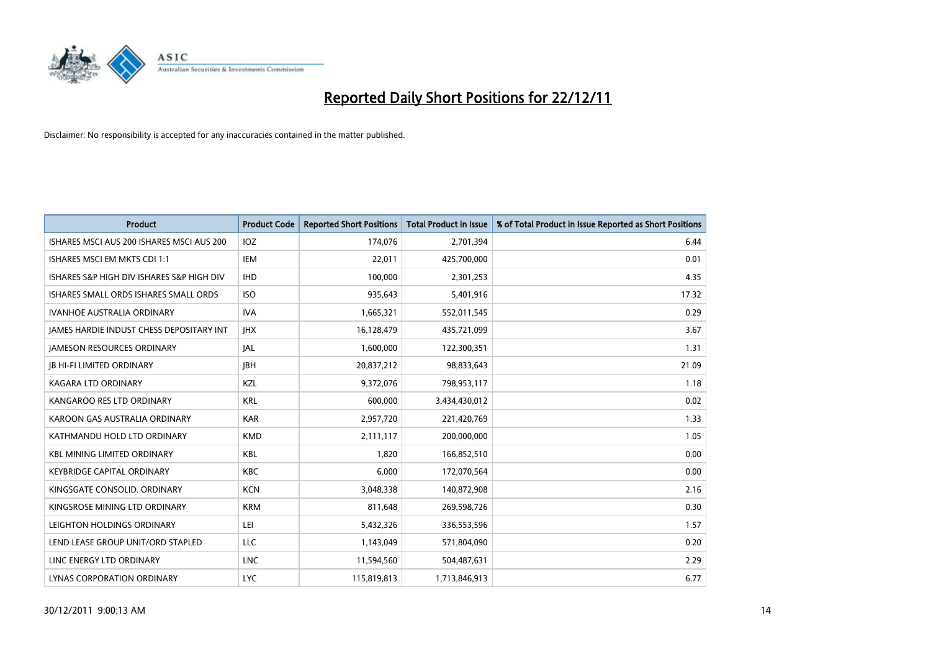

| <b>Product</b>                            | <b>Product Code</b> | <b>Reported Short Positions</b> | <b>Total Product in Issue</b> | % of Total Product in Issue Reported as Short Positions |
|-------------------------------------------|---------------------|---------------------------------|-------------------------------|---------------------------------------------------------|
| ISHARES MSCI AUS 200 ISHARES MSCI AUS 200 | IOZ                 | 174,076                         | 2,701,394                     | 6.44                                                    |
| ISHARES MSCI EM MKTS CDI 1:1              | IEM                 | 22,011                          | 425,700,000                   | 0.01                                                    |
| ISHARES S&P HIGH DIV ISHARES S&P HIGH DIV | <b>IHD</b>          | 100,000                         | 2,301,253                     | 4.35                                                    |
| ISHARES SMALL ORDS ISHARES SMALL ORDS     | <b>ISO</b>          | 935,643                         | 5,401,916                     | 17.32                                                   |
| <b>IVANHOE AUSTRALIA ORDINARY</b>         | <b>IVA</b>          | 1,665,321                       | 552,011,545                   | 0.29                                                    |
| JAMES HARDIE INDUST CHESS DEPOSITARY INT  | <b>IHX</b>          | 16,128,479                      | 435,721,099                   | 3.67                                                    |
| <b>JAMESON RESOURCES ORDINARY</b>         | <b>JAL</b>          | 1,600,000                       | 122,300,351                   | 1.31                                                    |
| <b>JB HI-FI LIMITED ORDINARY</b>          | <b>IBH</b>          | 20,837,212                      | 98,833,643                    | 21.09                                                   |
| <b>KAGARA LTD ORDINARY</b>                | KZL                 | 9,372,076                       | 798,953,117                   | 1.18                                                    |
| KANGAROO RES LTD ORDINARY                 | <b>KRL</b>          | 600,000                         | 3,434,430,012                 | 0.02                                                    |
| KAROON GAS AUSTRALIA ORDINARY             | <b>KAR</b>          | 2,957,720                       | 221,420,769                   | 1.33                                                    |
| KATHMANDU HOLD LTD ORDINARY               | <b>KMD</b>          | 2,111,117                       | 200,000,000                   | 1.05                                                    |
| <b>KBL MINING LIMITED ORDINARY</b>        | <b>KBL</b>          | 1,820                           | 166,852,510                   | 0.00                                                    |
| <b>KEYBRIDGE CAPITAL ORDINARY</b>         | <b>KBC</b>          | 6,000                           | 172,070,564                   | 0.00                                                    |
| KINGSGATE CONSOLID. ORDINARY              | <b>KCN</b>          | 3,048,338                       | 140,872,908                   | 2.16                                                    |
| KINGSROSE MINING LTD ORDINARY             | <b>KRM</b>          | 811,648                         | 269,598,726                   | 0.30                                                    |
| LEIGHTON HOLDINGS ORDINARY                | LEI                 | 5,432,326                       | 336,553,596                   | 1.57                                                    |
| LEND LEASE GROUP UNIT/ORD STAPLED         | <b>LLC</b>          | 1,143,049                       | 571,804,090                   | 0.20                                                    |
| LINC ENERGY LTD ORDINARY                  | <b>LNC</b>          | 11,594,560                      | 504,487,631                   | 2.29                                                    |
| LYNAS CORPORATION ORDINARY                | <b>LYC</b>          | 115,819,813                     | 1,713,846,913                 | 6.77                                                    |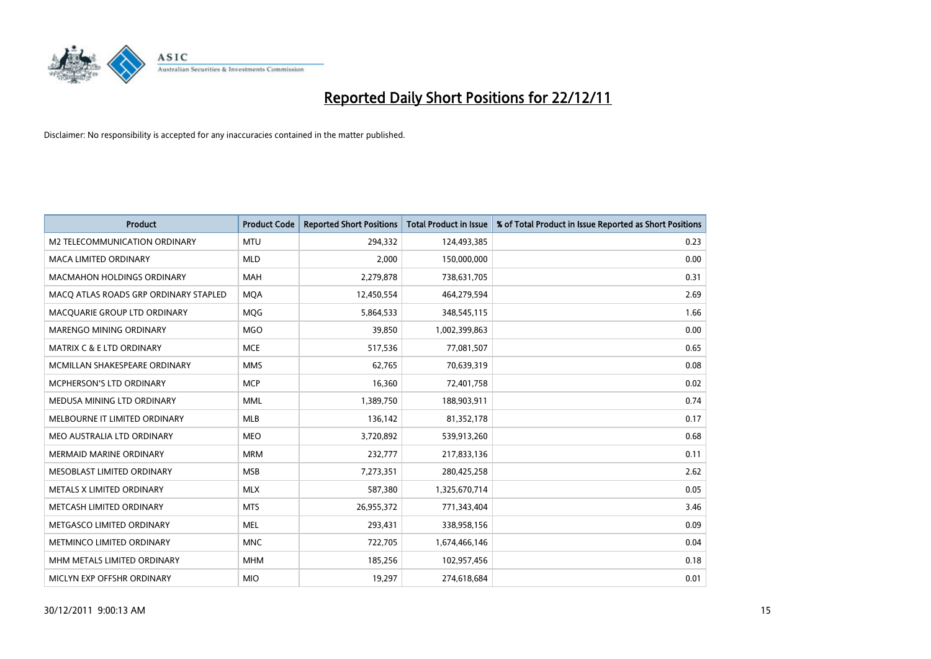

| <b>Product</b>                        | <b>Product Code</b> | <b>Reported Short Positions</b> | <b>Total Product in Issue</b> | % of Total Product in Issue Reported as Short Positions |
|---------------------------------------|---------------------|---------------------------------|-------------------------------|---------------------------------------------------------|
| M2 TELECOMMUNICATION ORDINARY         | <b>MTU</b>          | 294,332                         | 124,493,385                   | 0.23                                                    |
| MACA LIMITED ORDINARY                 | <b>MLD</b>          | 2,000                           | 150,000,000                   | 0.00                                                    |
| <b>MACMAHON HOLDINGS ORDINARY</b>     | <b>MAH</b>          | 2,279,878                       | 738,631,705                   | 0.31                                                    |
| MACQ ATLAS ROADS GRP ORDINARY STAPLED | <b>MQA</b>          | 12,450,554                      | 464,279,594                   | 2.69                                                    |
| MACQUARIE GROUP LTD ORDINARY          | <b>MOG</b>          | 5,864,533                       | 348,545,115                   | 1.66                                                    |
| MARENGO MINING ORDINARY               | <b>MGO</b>          | 39,850                          | 1,002,399,863                 | 0.00                                                    |
| <b>MATRIX C &amp; E LTD ORDINARY</b>  | <b>MCE</b>          | 517,536                         | 77,081,507                    | 0.65                                                    |
| MCMILLAN SHAKESPEARE ORDINARY         | <b>MMS</b>          | 62,765                          | 70,639,319                    | 0.08                                                    |
| MCPHERSON'S LTD ORDINARY              | <b>MCP</b>          | 16,360                          | 72,401,758                    | 0.02                                                    |
| MEDUSA MINING LTD ORDINARY            | <b>MML</b>          | 1,389,750                       | 188,903,911                   | 0.74                                                    |
| MELBOURNE IT LIMITED ORDINARY         | MLB                 | 136,142                         | 81,352,178                    | 0.17                                                    |
| MEO AUSTRALIA LTD ORDINARY            | <b>MEO</b>          | 3,720,892                       | 539,913,260                   | 0.68                                                    |
| MERMAID MARINE ORDINARY               | <b>MRM</b>          | 232,777                         | 217,833,136                   | 0.11                                                    |
| MESOBLAST LIMITED ORDINARY            | <b>MSB</b>          | 7,273,351                       | 280,425,258                   | 2.62                                                    |
| METALS X LIMITED ORDINARY             | <b>MLX</b>          | 587,380                         | 1,325,670,714                 | 0.05                                                    |
| METCASH LIMITED ORDINARY              | <b>MTS</b>          | 26,955,372                      | 771,343,404                   | 3.46                                                    |
| METGASCO LIMITED ORDINARY             | <b>MEL</b>          | 293,431                         | 338,958,156                   | 0.09                                                    |
| METMINCO LIMITED ORDINARY             | <b>MNC</b>          | 722,705                         | 1,674,466,146                 | 0.04                                                    |
| MHM METALS LIMITED ORDINARY           | <b>MHM</b>          | 185,256                         | 102,957,456                   | 0.18                                                    |
| MICLYN EXP OFFSHR ORDINARY            | <b>MIO</b>          | 19,297                          | 274,618,684                   | 0.01                                                    |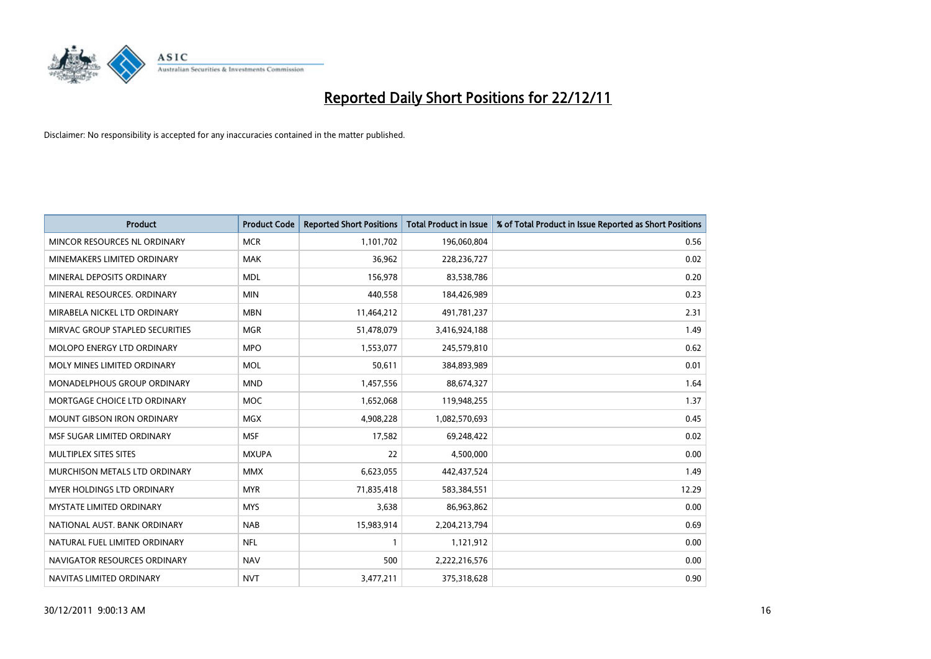

| <b>Product</b>                       | <b>Product Code</b> | <b>Reported Short Positions</b> | <b>Total Product in Issue</b> | % of Total Product in Issue Reported as Short Positions |
|--------------------------------------|---------------------|---------------------------------|-------------------------------|---------------------------------------------------------|
| MINCOR RESOURCES NL ORDINARY         | <b>MCR</b>          | 1,101,702                       | 196,060,804                   | 0.56                                                    |
| MINEMAKERS LIMITED ORDINARY          | <b>MAK</b>          | 36,962                          | 228,236,727                   | 0.02                                                    |
| MINERAL DEPOSITS ORDINARY            | <b>MDL</b>          | 156,978                         | 83,538,786                    | 0.20                                                    |
| MINERAL RESOURCES. ORDINARY          | <b>MIN</b>          | 440,558                         | 184,426,989                   | 0.23                                                    |
| MIRABELA NICKEL LTD ORDINARY         | <b>MBN</b>          | 11,464,212                      | 491,781,237                   | 2.31                                                    |
| MIRVAC GROUP STAPLED SECURITIES      | <b>MGR</b>          | 51,478,079                      | 3,416,924,188                 | 1.49                                                    |
| <b>MOLOPO ENERGY LTD ORDINARY</b>    | <b>MPO</b>          | 1,553,077                       | 245,579,810                   | 0.62                                                    |
| MOLY MINES LIMITED ORDINARY          | <b>MOL</b>          | 50,611                          | 384,893,989                   | 0.01                                                    |
| <b>MONADELPHOUS GROUP ORDINARY</b>   | <b>MND</b>          | 1,457,556                       | 88,674,327                    | 1.64                                                    |
| MORTGAGE CHOICE LTD ORDINARY         | <b>MOC</b>          | 1,652,068                       | 119,948,255                   | 1.37                                                    |
| MOUNT GIBSON IRON ORDINARY           | <b>MGX</b>          | 4,908,228                       | 1,082,570,693                 | 0.45                                                    |
| MSF SUGAR LIMITED ORDINARY           | <b>MSF</b>          | 17,582                          | 69,248,422                    | 0.02                                                    |
| MULTIPLEX SITES SITES                | <b>MXUPA</b>        | 22                              | 4,500,000                     | 0.00                                                    |
| <b>MURCHISON METALS LTD ORDINARY</b> | <b>MMX</b>          | 6,623,055                       | 442,437,524                   | 1.49                                                    |
| <b>MYER HOLDINGS LTD ORDINARY</b>    | <b>MYR</b>          | 71,835,418                      | 583,384,551                   | 12.29                                                   |
| <b>MYSTATE LIMITED ORDINARY</b>      | <b>MYS</b>          | 3,638                           | 86,963,862                    | 0.00                                                    |
| NATIONAL AUST, BANK ORDINARY         | <b>NAB</b>          | 15,983,914                      | 2,204,213,794                 | 0.69                                                    |
| NATURAL FUEL LIMITED ORDINARY        | <b>NFL</b>          |                                 | 1,121,912                     | 0.00                                                    |
| NAVIGATOR RESOURCES ORDINARY         | <b>NAV</b>          | 500                             | 2,222,216,576                 | 0.00                                                    |
| NAVITAS LIMITED ORDINARY             | <b>NVT</b>          | 3,477,211                       | 375,318,628                   | 0.90                                                    |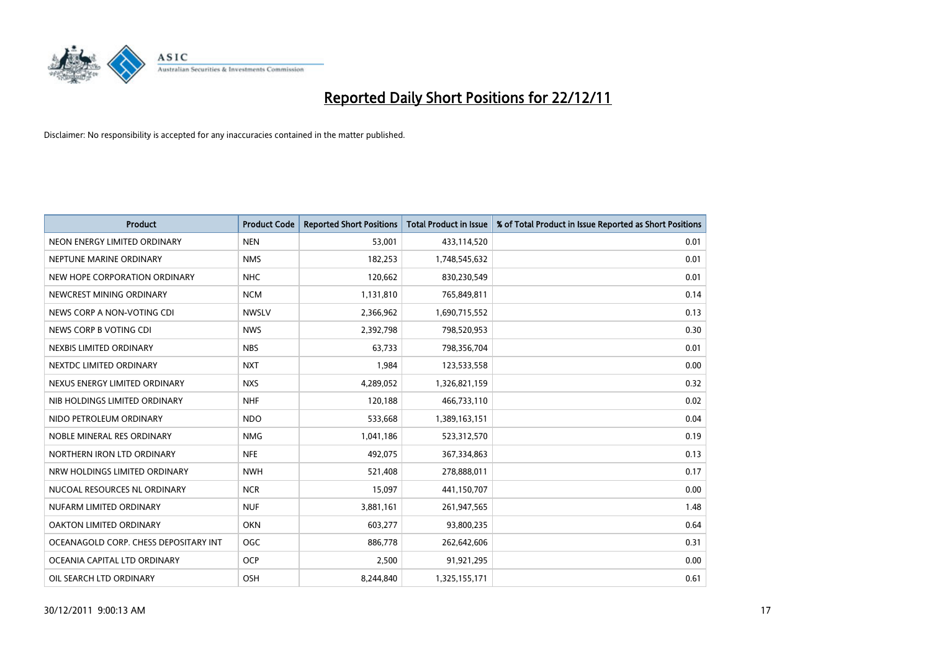

| <b>Product</b>                        | <b>Product Code</b> | <b>Reported Short Positions</b> | <b>Total Product in Issue</b> | % of Total Product in Issue Reported as Short Positions |
|---------------------------------------|---------------------|---------------------------------|-------------------------------|---------------------------------------------------------|
| NEON ENERGY LIMITED ORDINARY          | <b>NEN</b>          | 53,001                          | 433,114,520                   | 0.01                                                    |
| NEPTUNE MARINE ORDINARY               | <b>NMS</b>          | 182,253                         | 1,748,545,632                 | 0.01                                                    |
| NEW HOPE CORPORATION ORDINARY         | <b>NHC</b>          | 120,662                         | 830,230,549                   | 0.01                                                    |
| NEWCREST MINING ORDINARY              | <b>NCM</b>          | 1,131,810                       | 765,849,811                   | 0.14                                                    |
| NEWS CORP A NON-VOTING CDI            | <b>NWSLV</b>        | 2,366,962                       | 1,690,715,552                 | 0.13                                                    |
| NEWS CORP B VOTING CDI                | <b>NWS</b>          | 2,392,798                       | 798,520,953                   | 0.30                                                    |
| NEXBIS LIMITED ORDINARY               | <b>NBS</b>          | 63,733                          | 798,356,704                   | 0.01                                                    |
| NEXTDC LIMITED ORDINARY               | <b>NXT</b>          | 1,984                           | 123,533,558                   | 0.00                                                    |
| NEXUS ENERGY LIMITED ORDINARY         | <b>NXS</b>          | 4,289,052                       | 1,326,821,159                 | 0.32                                                    |
| NIB HOLDINGS LIMITED ORDINARY         | <b>NHF</b>          | 120,188                         | 466,733,110                   | 0.02                                                    |
| NIDO PETROLEUM ORDINARY               | <b>NDO</b>          | 533,668                         | 1,389,163,151                 | 0.04                                                    |
| NOBLE MINERAL RES ORDINARY            | <b>NMG</b>          | 1,041,186                       | 523,312,570                   | 0.19                                                    |
| NORTHERN IRON LTD ORDINARY            | <b>NFE</b>          | 492,075                         | 367,334,863                   | 0.13                                                    |
| NRW HOLDINGS LIMITED ORDINARY         | <b>NWH</b>          | 521,408                         | 278,888,011                   | 0.17                                                    |
| NUCOAL RESOURCES NL ORDINARY          | <b>NCR</b>          | 15,097                          | 441,150,707                   | 0.00                                                    |
| NUFARM LIMITED ORDINARY               | <b>NUF</b>          | 3,881,161                       | 261,947,565                   | 1.48                                                    |
| OAKTON LIMITED ORDINARY               | <b>OKN</b>          | 603,277                         | 93,800,235                    | 0.64                                                    |
| OCEANAGOLD CORP. CHESS DEPOSITARY INT | <b>OGC</b>          | 886,778                         | 262,642,606                   | 0.31                                                    |
| OCEANIA CAPITAL LTD ORDINARY          | <b>OCP</b>          | 2,500                           | 91,921,295                    | 0.00                                                    |
| OIL SEARCH LTD ORDINARY               | OSH                 | 8.244.840                       | 1,325,155,171                 | 0.61                                                    |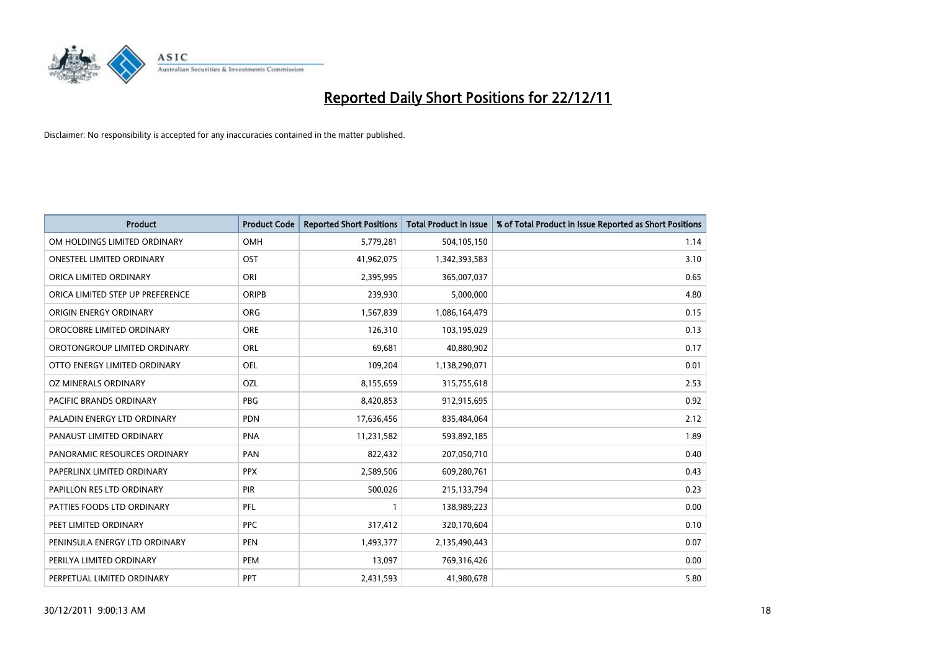

| <b>Product</b>                   | <b>Product Code</b> | <b>Reported Short Positions</b> | <b>Total Product in Issue</b> | % of Total Product in Issue Reported as Short Positions |
|----------------------------------|---------------------|---------------------------------|-------------------------------|---------------------------------------------------------|
| OM HOLDINGS LIMITED ORDINARY     | OMH                 | 5,779,281                       | 504,105,150                   | 1.14                                                    |
| ONESTEEL LIMITED ORDINARY        | OST                 | 41,962,075                      | 1,342,393,583                 | 3.10                                                    |
| ORICA LIMITED ORDINARY           | ORI                 | 2,395,995                       | 365,007,037                   | 0.65                                                    |
| ORICA LIMITED STEP UP PREFERENCE | <b>ORIPB</b>        | 239,930                         | 5,000,000                     | 4.80                                                    |
| ORIGIN ENERGY ORDINARY           | <b>ORG</b>          | 1,567,839                       | 1,086,164,479                 | 0.15                                                    |
| OROCOBRE LIMITED ORDINARY        | <b>ORE</b>          | 126,310                         | 103,195,029                   | 0.13                                                    |
| OROTONGROUP LIMITED ORDINARY     | ORL                 | 69,681                          | 40,880,902                    | 0.17                                                    |
| OTTO ENERGY LIMITED ORDINARY     | OEL                 | 109,204                         | 1,138,290,071                 | 0.01                                                    |
| OZ MINERALS ORDINARY             | OZL                 | 8,155,659                       | 315,755,618                   | 2.53                                                    |
| <b>PACIFIC BRANDS ORDINARY</b>   | <b>PBG</b>          | 8,420,853                       | 912,915,695                   | 0.92                                                    |
| PALADIN ENERGY LTD ORDINARY      | <b>PDN</b>          | 17,636,456                      | 835,484,064                   | 2.12                                                    |
| PANAUST LIMITED ORDINARY         | <b>PNA</b>          | 11,231,582                      | 593,892,185                   | 1.89                                                    |
| PANORAMIC RESOURCES ORDINARY     | PAN                 | 822,432                         | 207,050,710                   | 0.40                                                    |
| PAPERLINX LIMITED ORDINARY       | <b>PPX</b>          | 2,589,506                       | 609,280,761                   | 0.43                                                    |
| PAPILLON RES LTD ORDINARY        | PIR                 | 500,026                         | 215,133,794                   | 0.23                                                    |
| PATTIES FOODS LTD ORDINARY       | PFL                 |                                 | 138,989,223                   | 0.00                                                    |
| PEET LIMITED ORDINARY            | <b>PPC</b>          | 317,412                         | 320,170,604                   | 0.10                                                    |
| PENINSULA ENERGY LTD ORDINARY    | <b>PEN</b>          | 1,493,377                       | 2,135,490,443                 | 0.07                                                    |
| PERILYA LIMITED ORDINARY         | PEM                 | 13,097                          | 769,316,426                   | 0.00                                                    |
| PERPETUAL LIMITED ORDINARY       | PPT                 | 2,431,593                       | 41,980,678                    | 5.80                                                    |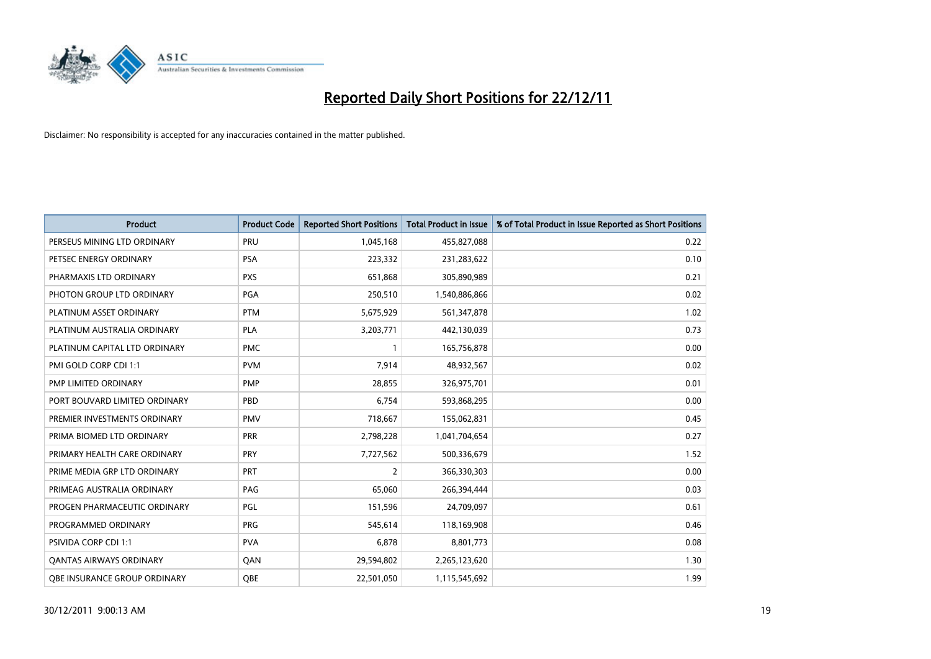

| <b>Product</b>                | <b>Product Code</b> | <b>Reported Short Positions</b> | <b>Total Product in Issue</b> | % of Total Product in Issue Reported as Short Positions |
|-------------------------------|---------------------|---------------------------------|-------------------------------|---------------------------------------------------------|
| PERSEUS MINING LTD ORDINARY   | PRU                 | 1,045,168                       | 455,827,088                   | 0.22                                                    |
| PETSEC ENERGY ORDINARY        | <b>PSA</b>          | 223,332                         | 231,283,622                   | 0.10                                                    |
| PHARMAXIS LTD ORDINARY        | <b>PXS</b>          | 651,868                         | 305,890,989                   | 0.21                                                    |
| PHOTON GROUP LTD ORDINARY     | PGA                 | 250,510                         | 1,540,886,866                 | 0.02                                                    |
| PLATINUM ASSET ORDINARY       | <b>PTM</b>          | 5,675,929                       | 561,347,878                   | 1.02                                                    |
| PLATINUM AUSTRALIA ORDINARY   | <b>PLA</b>          | 3,203,771                       | 442,130,039                   | 0.73                                                    |
| PLATINUM CAPITAL LTD ORDINARY | <b>PMC</b>          |                                 | 165,756,878                   | 0.00                                                    |
| PMI GOLD CORP CDI 1:1         | <b>PVM</b>          | 7,914                           | 48,932,567                    | 0.02                                                    |
| PMP LIMITED ORDINARY          | <b>PMP</b>          | 28,855                          | 326,975,701                   | 0.01                                                    |
| PORT BOUVARD LIMITED ORDINARY | PBD                 | 6,754                           | 593,868,295                   | 0.00                                                    |
| PREMIER INVESTMENTS ORDINARY  | <b>PMV</b>          | 718,667                         | 155,062,831                   | 0.45                                                    |
| PRIMA BIOMED LTD ORDINARY     | PRR                 | 2,798,228                       | 1,041,704,654                 | 0.27                                                    |
| PRIMARY HEALTH CARE ORDINARY  | <b>PRY</b>          | 7,727,562                       | 500,336,679                   | 1.52                                                    |
| PRIME MEDIA GRP LTD ORDINARY  | <b>PRT</b>          | 2                               | 366,330,303                   | 0.00                                                    |
| PRIMEAG AUSTRALIA ORDINARY    | PAG                 | 65,060                          | 266,394,444                   | 0.03                                                    |
| PROGEN PHARMACEUTIC ORDINARY  | PGL                 | 151,596                         | 24,709,097                    | 0.61                                                    |
| PROGRAMMED ORDINARY           | <b>PRG</b>          | 545,614                         | 118,169,908                   | 0.46                                                    |
| PSIVIDA CORP CDI 1:1          | <b>PVA</b>          | 6,878                           | 8,801,773                     | 0.08                                                    |
| OANTAS AIRWAYS ORDINARY       | QAN                 | 29,594,802                      | 2,265,123,620                 | 1.30                                                    |
| OBE INSURANCE GROUP ORDINARY  | <b>OBE</b>          | 22,501,050                      | 1,115,545,692                 | 1.99                                                    |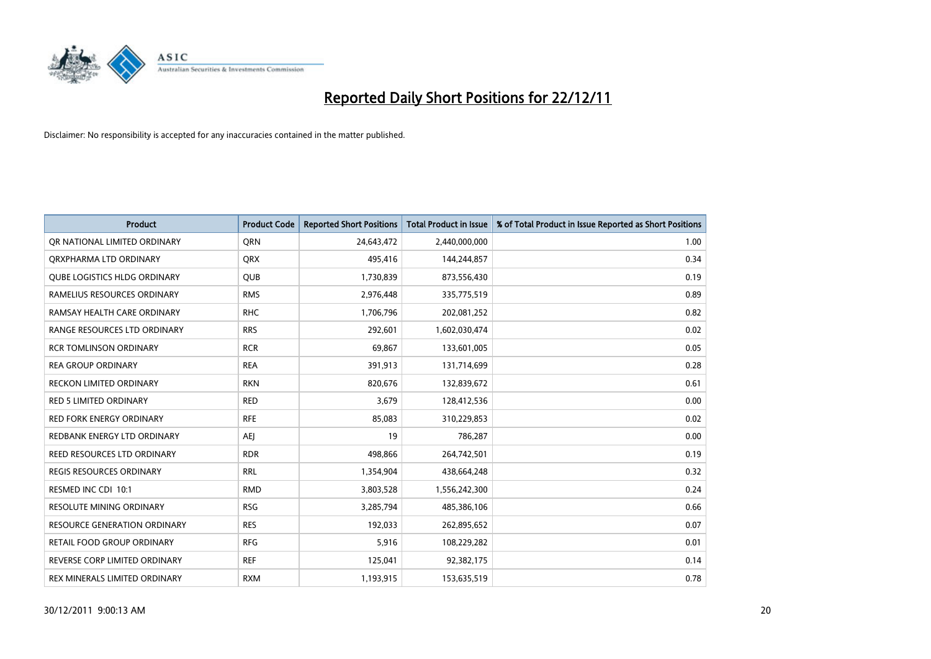

| <b>Product</b>                 | <b>Product Code</b> | <b>Reported Short Positions</b> | <b>Total Product in Issue</b> | % of Total Product in Issue Reported as Short Positions |
|--------------------------------|---------------------|---------------------------------|-------------------------------|---------------------------------------------------------|
| OR NATIONAL LIMITED ORDINARY   | <b>ORN</b>          | 24,643,472                      | 2,440,000,000                 | 1.00                                                    |
| ORXPHARMA LTD ORDINARY         | <b>QRX</b>          | 495,416                         | 144,244,857                   | 0.34                                                    |
| QUBE LOGISTICS HLDG ORDINARY   | QUB                 | 1,730,839                       | 873,556,430                   | 0.19                                                    |
| RAMELIUS RESOURCES ORDINARY    | <b>RMS</b>          | 2,976,448                       | 335,775,519                   | 0.89                                                    |
| RAMSAY HEALTH CARE ORDINARY    | <b>RHC</b>          | 1,706,796                       | 202,081,252                   | 0.82                                                    |
| RANGE RESOURCES LTD ORDINARY   | <b>RRS</b>          | 292,601                         | 1,602,030,474                 | 0.02                                                    |
| <b>RCR TOMLINSON ORDINARY</b>  | <b>RCR</b>          | 69,867                          | 133,601,005                   | 0.05                                                    |
| <b>REA GROUP ORDINARY</b>      | <b>REA</b>          | 391,913                         | 131,714,699                   | 0.28                                                    |
| <b>RECKON LIMITED ORDINARY</b> | <b>RKN</b>          | 820.676                         | 132,839,672                   | 0.61                                                    |
| <b>RED 5 LIMITED ORDINARY</b>  | <b>RED</b>          | 3,679                           | 128,412,536                   | 0.00                                                    |
| RED FORK ENERGY ORDINARY       | <b>RFE</b>          | 85,083                          | 310,229,853                   | 0.02                                                    |
| REDBANK ENERGY LTD ORDINARY    | AEJ                 | 19                              | 786,287                       | 0.00                                                    |
| REED RESOURCES LTD ORDINARY    | <b>RDR</b>          | 498,866                         | 264,742,501                   | 0.19                                                    |
| REGIS RESOURCES ORDINARY       | <b>RRL</b>          | 1,354,904                       | 438,664,248                   | 0.32                                                    |
| RESMED INC CDI 10:1            | <b>RMD</b>          | 3,803,528                       | 1,556,242,300                 | 0.24                                                    |
| RESOLUTE MINING ORDINARY       | <b>RSG</b>          | 3,285,794                       | 485,386,106                   | 0.66                                                    |
| RESOURCE GENERATION ORDINARY   | <b>RES</b>          | 192,033                         | 262,895,652                   | 0.07                                                    |
| RETAIL FOOD GROUP ORDINARY     | <b>RFG</b>          | 5,916                           | 108,229,282                   | 0.01                                                    |
| REVERSE CORP LIMITED ORDINARY  | <b>REF</b>          | 125,041                         | 92,382,175                    | 0.14                                                    |
| REX MINERALS LIMITED ORDINARY  | <b>RXM</b>          | 1,193,915                       | 153,635,519                   | 0.78                                                    |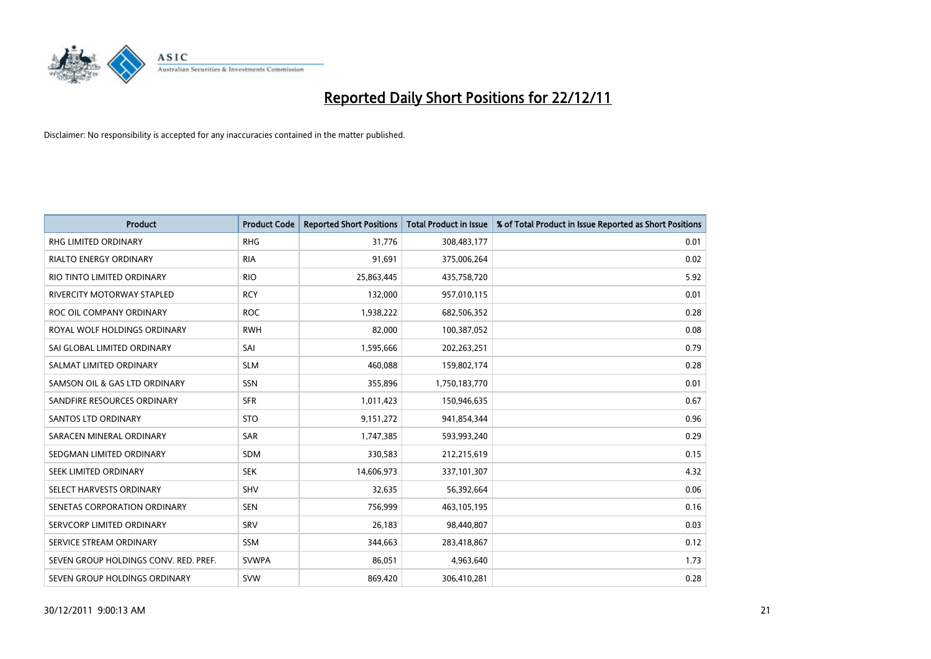

| <b>Product</b>                        | <b>Product Code</b> | <b>Reported Short Positions</b> | <b>Total Product in Issue</b> | % of Total Product in Issue Reported as Short Positions |
|---------------------------------------|---------------------|---------------------------------|-------------------------------|---------------------------------------------------------|
| <b>RHG LIMITED ORDINARY</b>           | <b>RHG</b>          | 31,776                          | 308,483,177                   | 0.01                                                    |
| RIALTO ENERGY ORDINARY                | <b>RIA</b>          | 91,691                          | 375,006,264                   | 0.02                                                    |
| RIO TINTO LIMITED ORDINARY            | <b>RIO</b>          | 25,863,445                      | 435,758,720                   | 5.92                                                    |
| RIVERCITY MOTORWAY STAPLED            | <b>RCY</b>          | 132,000                         | 957,010,115                   | 0.01                                                    |
| ROC OIL COMPANY ORDINARY              | <b>ROC</b>          | 1,938,222                       | 682,506,352                   | 0.28                                                    |
| ROYAL WOLF HOLDINGS ORDINARY          | <b>RWH</b>          | 82,000                          | 100,387,052                   | 0.08                                                    |
| SAI GLOBAL LIMITED ORDINARY           | SAI                 | 1,595,666                       | 202,263,251                   | 0.79                                                    |
| SALMAT LIMITED ORDINARY               | <b>SLM</b>          | 460,088                         | 159,802,174                   | 0.28                                                    |
| SAMSON OIL & GAS LTD ORDINARY         | SSN                 | 355,896                         | 1,750,183,770                 | 0.01                                                    |
| SANDFIRE RESOURCES ORDINARY           | <b>SFR</b>          | 1,011,423                       | 150,946,635                   | 0.67                                                    |
| <b>SANTOS LTD ORDINARY</b>            | <b>STO</b>          | 9,151,272                       | 941,854,344                   | 0.96                                                    |
| SARACEN MINERAL ORDINARY              | SAR                 | 1,747,385                       | 593,993,240                   | 0.29                                                    |
| SEDGMAN LIMITED ORDINARY              | <b>SDM</b>          | 330,583                         | 212,215,619                   | 0.15                                                    |
| <b>SEEK LIMITED ORDINARY</b>          | <b>SEK</b>          | 14,606,973                      | 337,101,307                   | 4.32                                                    |
| SELECT HARVESTS ORDINARY              | SHV                 | 32,635                          | 56,392,664                    | 0.06                                                    |
| SENETAS CORPORATION ORDINARY          | <b>SEN</b>          | 756,999                         | 463,105,195                   | 0.16                                                    |
| SERVCORP LIMITED ORDINARY             | SRV                 | 26,183                          | 98,440,807                    | 0.03                                                    |
| SERVICE STREAM ORDINARY               | <b>SSM</b>          | 344,663                         | 283,418,867                   | 0.12                                                    |
| SEVEN GROUP HOLDINGS CONV. RED. PREF. | <b>SVWPA</b>        | 86,051                          | 4,963,640                     | 1.73                                                    |
| SEVEN GROUP HOLDINGS ORDINARY         | <b>SVW</b>          | 869,420                         | 306,410,281                   | 0.28                                                    |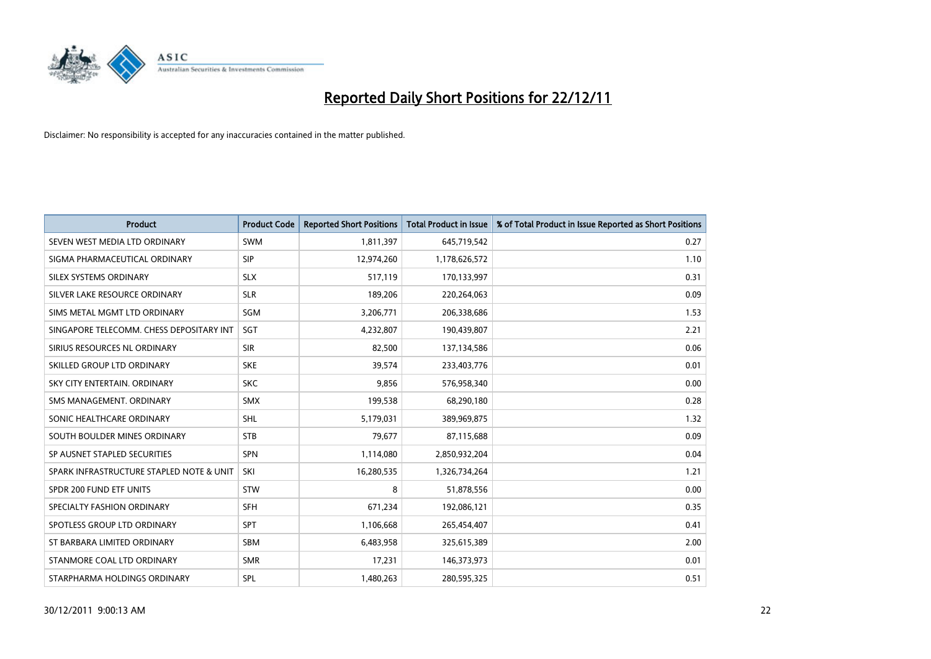

| <b>Product</b>                           | <b>Product Code</b> | <b>Reported Short Positions</b> | <b>Total Product in Issue</b> | % of Total Product in Issue Reported as Short Positions |
|------------------------------------------|---------------------|---------------------------------|-------------------------------|---------------------------------------------------------|
| SEVEN WEST MEDIA LTD ORDINARY            | <b>SWM</b>          | 1,811,397                       | 645,719,542                   | 0.27                                                    |
| SIGMA PHARMACEUTICAL ORDINARY            | <b>SIP</b>          | 12,974,260                      | 1,178,626,572                 | 1.10                                                    |
| <b>SILEX SYSTEMS ORDINARY</b>            | <b>SLX</b>          | 517,119                         | 170,133,997                   | 0.31                                                    |
| SILVER LAKE RESOURCE ORDINARY            | <b>SLR</b>          | 189,206                         | 220,264,063                   | 0.09                                                    |
| SIMS METAL MGMT LTD ORDINARY             | SGM                 | 3,206,771                       | 206,338,686                   | 1.53                                                    |
| SINGAPORE TELECOMM. CHESS DEPOSITARY INT | SGT                 | 4,232,807                       | 190,439,807                   | 2.21                                                    |
| SIRIUS RESOURCES NL ORDINARY             | <b>SIR</b>          | 82,500                          | 137,134,586                   | 0.06                                                    |
| SKILLED GROUP LTD ORDINARY               | <b>SKE</b>          | 39,574                          | 233,403,776                   | 0.01                                                    |
| SKY CITY ENTERTAIN, ORDINARY             | <b>SKC</b>          | 9.856                           | 576,958,340                   | 0.00                                                    |
| SMS MANAGEMENT, ORDINARY                 | <b>SMX</b>          | 199,538                         | 68,290,180                    | 0.28                                                    |
| SONIC HEALTHCARE ORDINARY                | <b>SHL</b>          | 5,179,031                       | 389,969,875                   | 1.32                                                    |
| SOUTH BOULDER MINES ORDINARY             | <b>STB</b>          | 79,677                          | 87,115,688                    | 0.09                                                    |
| SP AUSNET STAPLED SECURITIES             | <b>SPN</b>          | 1,114,080                       | 2,850,932,204                 | 0.04                                                    |
| SPARK INFRASTRUCTURE STAPLED NOTE & UNIT | SKI                 | 16,280,535                      | 1,326,734,264                 | 1.21                                                    |
| SPDR 200 FUND ETF UNITS                  | <b>STW</b>          | 8                               | 51,878,556                    | 0.00                                                    |
| SPECIALTY FASHION ORDINARY               | <b>SFH</b>          | 671,234                         | 192,086,121                   | 0.35                                                    |
| SPOTLESS GROUP LTD ORDINARY              | <b>SPT</b>          | 1,106,668                       | 265,454,407                   | 0.41                                                    |
| ST BARBARA LIMITED ORDINARY              | <b>SBM</b>          | 6,483,958                       | 325,615,389                   | 2.00                                                    |
| STANMORE COAL LTD ORDINARY               | <b>SMR</b>          | 17,231                          | 146,373,973                   | 0.01                                                    |
| STARPHARMA HOLDINGS ORDINARY             | SPL                 | 1,480,263                       | 280,595,325                   | 0.51                                                    |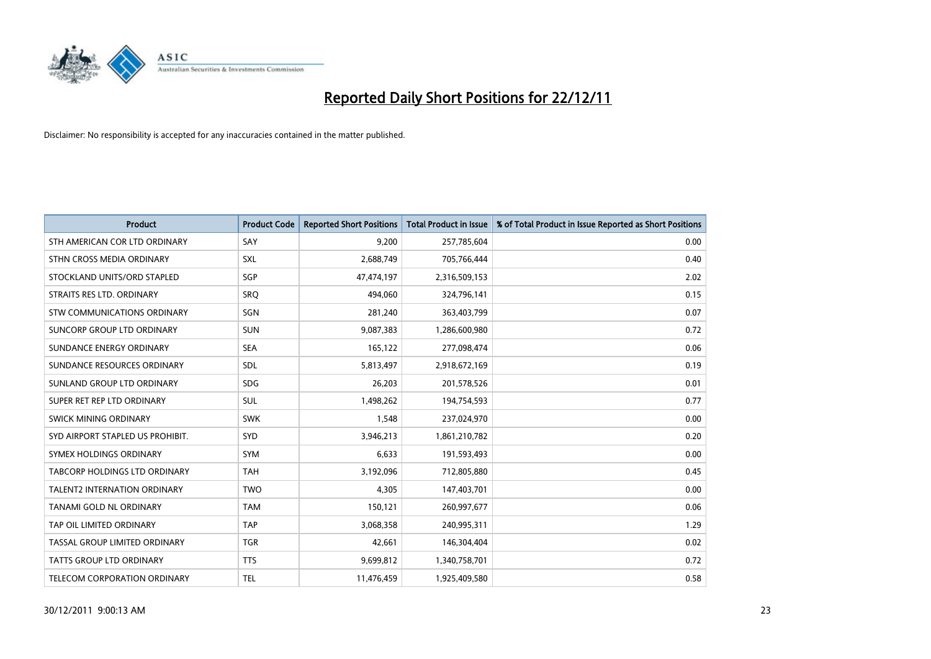

| <b>Product</b>                       | <b>Product Code</b> | <b>Reported Short Positions</b> | <b>Total Product in Issue</b> | % of Total Product in Issue Reported as Short Positions |
|--------------------------------------|---------------------|---------------------------------|-------------------------------|---------------------------------------------------------|
| STH AMERICAN COR LTD ORDINARY        | SAY                 | 9,200                           | 257,785,604                   | 0.00                                                    |
| STHN CROSS MEDIA ORDINARY            | <b>SXL</b>          | 2,688,749                       | 705,766,444                   | 0.40                                                    |
| STOCKLAND UNITS/ORD STAPLED          | SGP                 | 47,474,197                      | 2,316,509,153                 | 2.02                                                    |
| STRAITS RES LTD. ORDINARY            | <b>SRO</b>          | 494,060                         | 324,796,141                   | 0.15                                                    |
| <b>STW COMMUNICATIONS ORDINARY</b>   | SGN                 | 281,240                         | 363,403,799                   | 0.07                                                    |
| SUNCORP GROUP LTD ORDINARY           | <b>SUN</b>          | 9,087,383                       | 1,286,600,980                 | 0.72                                                    |
| SUNDANCE ENERGY ORDINARY             | <b>SEA</b>          | 165.122                         | 277,098,474                   | 0.06                                                    |
| SUNDANCE RESOURCES ORDINARY          | <b>SDL</b>          | 5,813,497                       | 2,918,672,169                 | 0.19                                                    |
| SUNLAND GROUP LTD ORDINARY           | <b>SDG</b>          | 26,203                          | 201,578,526                   | 0.01                                                    |
| SUPER RET REP LTD ORDINARY           | <b>SUL</b>          | 1,498,262                       | 194,754,593                   | 0.77                                                    |
| SWICK MINING ORDINARY                | <b>SWK</b>          | 1,548                           | 237,024,970                   | 0.00                                                    |
| SYD AIRPORT STAPLED US PROHIBIT.     | <b>SYD</b>          | 3,946,213                       | 1,861,210,782                 | 0.20                                                    |
| SYMEX HOLDINGS ORDINARY              | <b>SYM</b>          | 6,633                           | 191,593,493                   | 0.00                                                    |
| <b>TABCORP HOLDINGS LTD ORDINARY</b> | <b>TAH</b>          | 3,192,096                       | 712,805,880                   | 0.45                                                    |
| <b>TALENT2 INTERNATION ORDINARY</b>  | <b>TWO</b>          | 4,305                           | 147,403,701                   | 0.00                                                    |
| TANAMI GOLD NL ORDINARY              | <b>TAM</b>          | 150,121                         | 260,997,677                   | 0.06                                                    |
| TAP OIL LIMITED ORDINARY             | <b>TAP</b>          | 3,068,358                       | 240,995,311                   | 1.29                                                    |
| TASSAL GROUP LIMITED ORDINARY        | <b>TGR</b>          | 42,661                          | 146,304,404                   | 0.02                                                    |
| <b>TATTS GROUP LTD ORDINARY</b>      | <b>TTS</b>          | 9,699,812                       | 1,340,758,701                 | 0.72                                                    |
| TELECOM CORPORATION ORDINARY         | <b>TEL</b>          | 11,476,459                      | 1,925,409,580                 | 0.58                                                    |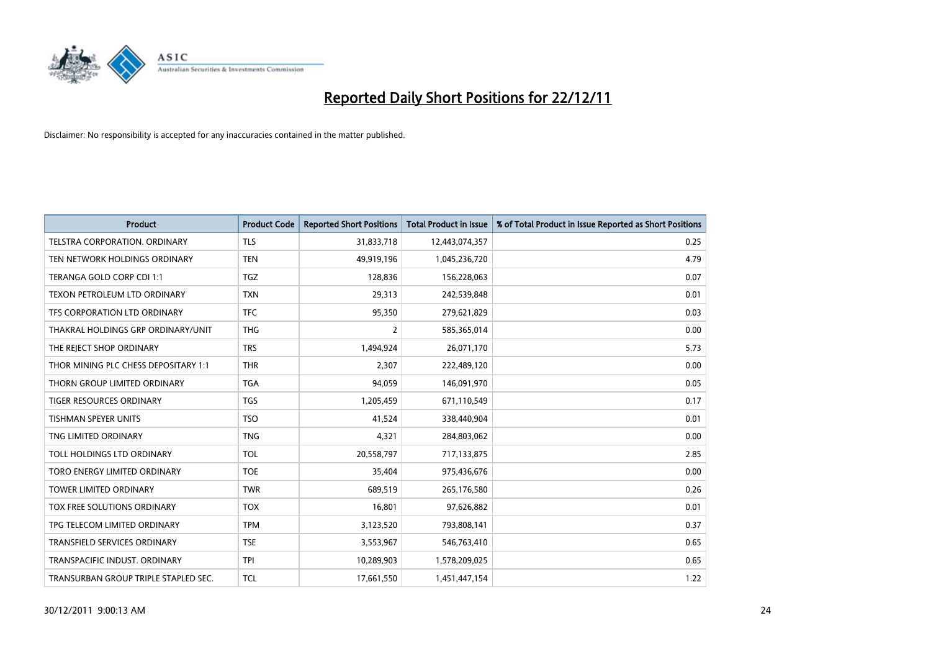

| <b>Product</b>                       | <b>Product Code</b> | <b>Reported Short Positions</b> | <b>Total Product in Issue</b> | % of Total Product in Issue Reported as Short Positions |
|--------------------------------------|---------------------|---------------------------------|-------------------------------|---------------------------------------------------------|
| TELSTRA CORPORATION, ORDINARY        | <b>TLS</b>          | 31,833,718                      | 12,443,074,357                | 0.25                                                    |
| TEN NETWORK HOLDINGS ORDINARY        | <b>TEN</b>          | 49,919,196                      | 1,045,236,720                 | 4.79                                                    |
| TERANGA GOLD CORP CDI 1:1            | <b>TGZ</b>          | 128,836                         | 156,228,063                   | 0.07                                                    |
| TEXON PETROLEUM LTD ORDINARY         | <b>TXN</b>          | 29,313                          | 242,539,848                   | 0.01                                                    |
| TFS CORPORATION LTD ORDINARY         | <b>TFC</b>          | 95,350                          | 279,621,829                   | 0.03                                                    |
| THAKRAL HOLDINGS GRP ORDINARY/UNIT   | <b>THG</b>          | 2                               | 585,365,014                   | 0.00                                                    |
| THE REJECT SHOP ORDINARY             | <b>TRS</b>          | 1,494,924                       | 26,071,170                    | 5.73                                                    |
| THOR MINING PLC CHESS DEPOSITARY 1:1 | <b>THR</b>          | 2,307                           | 222,489,120                   | 0.00                                                    |
| THORN GROUP LIMITED ORDINARY         | <b>TGA</b>          | 94,059                          | 146,091,970                   | 0.05                                                    |
| <b>TIGER RESOURCES ORDINARY</b>      | <b>TGS</b>          | 1,205,459                       | 671,110,549                   | 0.17                                                    |
| TISHMAN SPEYER UNITS                 | <b>TSO</b>          | 41,524                          | 338,440,904                   | 0.01                                                    |
| TNG LIMITED ORDINARY                 | <b>TNG</b>          | 4,321                           | 284,803,062                   | 0.00                                                    |
| TOLL HOLDINGS LTD ORDINARY           | <b>TOL</b>          | 20,558,797                      | 717,133,875                   | 2.85                                                    |
| TORO ENERGY LIMITED ORDINARY         | <b>TOE</b>          | 35,404                          | 975,436,676                   | 0.00                                                    |
| <b>TOWER LIMITED ORDINARY</b>        | <b>TWR</b>          | 689,519                         | 265,176,580                   | 0.26                                                    |
| TOX FREE SOLUTIONS ORDINARY          | <b>TOX</b>          | 16,801                          | 97,626,882                    | 0.01                                                    |
| TPG TELECOM LIMITED ORDINARY         | <b>TPM</b>          | 3,123,520                       | 793,808,141                   | 0.37                                                    |
| TRANSFIELD SERVICES ORDINARY         | <b>TSE</b>          | 3,553,967                       | 546,763,410                   | 0.65                                                    |
| TRANSPACIFIC INDUST, ORDINARY        | <b>TPI</b>          | 10,289,903                      | 1,578,209,025                 | 0.65                                                    |
| TRANSURBAN GROUP TRIPLE STAPLED SEC. | <b>TCL</b>          | 17,661,550                      | 1,451,447,154                 | 1.22                                                    |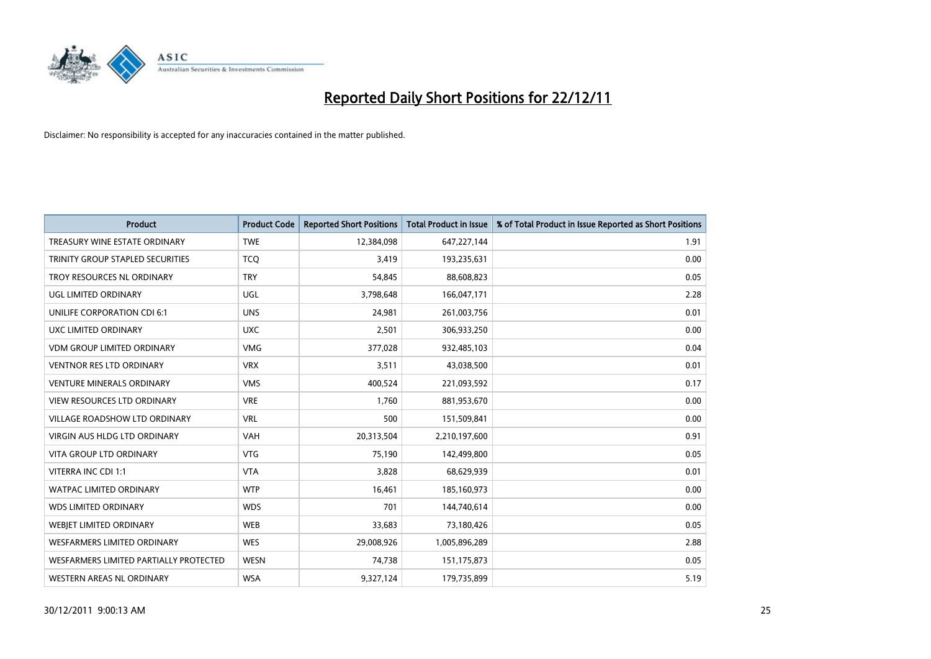

| <b>Product</b>                         | <b>Product Code</b> | <b>Reported Short Positions</b> | <b>Total Product in Issue</b> | % of Total Product in Issue Reported as Short Positions |
|----------------------------------------|---------------------|---------------------------------|-------------------------------|---------------------------------------------------------|
| TREASURY WINE ESTATE ORDINARY          | <b>TWE</b>          | 12,384,098                      | 647,227,144                   | 1.91                                                    |
| TRINITY GROUP STAPLED SECURITIES       | <b>TCO</b>          | 3,419                           | 193,235,631                   | 0.00                                                    |
| TROY RESOURCES NL ORDINARY             | <b>TRY</b>          | 54,845                          | 88,608,823                    | 0.05                                                    |
| UGL LIMITED ORDINARY                   | UGL                 | 3,798,648                       | 166,047,171                   | 2.28                                                    |
| UNILIFE CORPORATION CDI 6:1            | <b>UNS</b>          | 24,981                          | 261,003,756                   | 0.01                                                    |
| UXC LIMITED ORDINARY                   | <b>UXC</b>          | 2,501                           | 306,933,250                   | 0.00                                                    |
| <b>VDM GROUP LIMITED ORDINARY</b>      | <b>VMG</b>          | 377,028                         | 932,485,103                   | 0.04                                                    |
| <b>VENTNOR RES LTD ORDINARY</b>        | <b>VRX</b>          | 3,511                           | 43,038,500                    | 0.01                                                    |
| <b>VENTURE MINERALS ORDINARY</b>       | <b>VMS</b>          | 400.524                         | 221,093,592                   | 0.17                                                    |
| <b>VIEW RESOURCES LTD ORDINARY</b>     | <b>VRE</b>          | 1,760                           | 881,953,670                   | 0.00                                                    |
| VILLAGE ROADSHOW LTD ORDINARY          | <b>VRL</b>          | 500                             | 151,509,841                   | 0.00                                                    |
| <b>VIRGIN AUS HLDG LTD ORDINARY</b>    | <b>VAH</b>          | 20,313,504                      | 2,210,197,600                 | 0.91                                                    |
| VITA GROUP LTD ORDINARY                | <b>VTG</b>          | 75,190                          | 142,499,800                   | 0.05                                                    |
| VITERRA INC CDI 1:1                    | <b>VTA</b>          | 3,828                           | 68,629,939                    | 0.01                                                    |
| <b>WATPAC LIMITED ORDINARY</b>         | <b>WTP</b>          | 16,461                          | 185,160,973                   | 0.00                                                    |
| <b>WDS LIMITED ORDINARY</b>            | <b>WDS</b>          | 701                             | 144,740,614                   | 0.00                                                    |
| WEBIET LIMITED ORDINARY                | <b>WEB</b>          | 33,683                          | 73,180,426                    | 0.05                                                    |
| <b>WESFARMERS LIMITED ORDINARY</b>     | <b>WES</b>          | 29,008,926                      | 1,005,896,289                 | 2.88                                                    |
| WESFARMERS LIMITED PARTIALLY PROTECTED | <b>WESN</b>         | 74,738                          | 151,175,873                   | 0.05                                                    |
| WESTERN AREAS NL ORDINARY              | <b>WSA</b>          | 9,327,124                       | 179,735,899                   | 5.19                                                    |